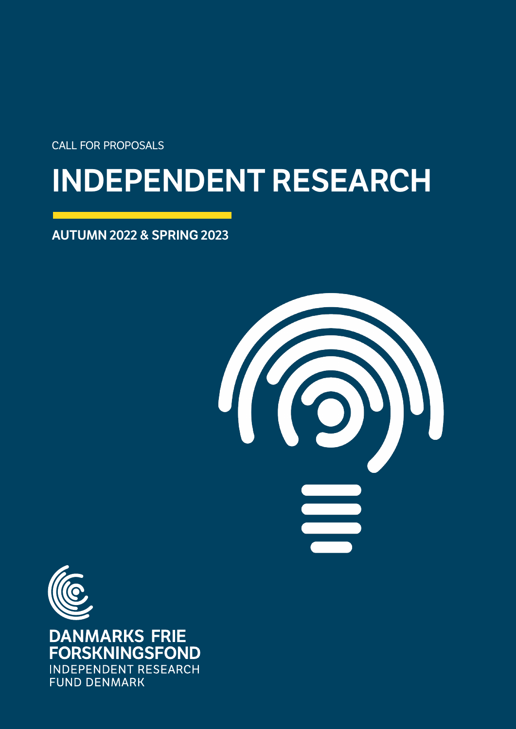call for proposals

# INDEPENDENT RESEARCH

AUTUMN 2022 & SPRING 2023





**DANMARKS FRIE FORSKNINGSFOND INDEPENDENT RESEARCH FUND DENMARK**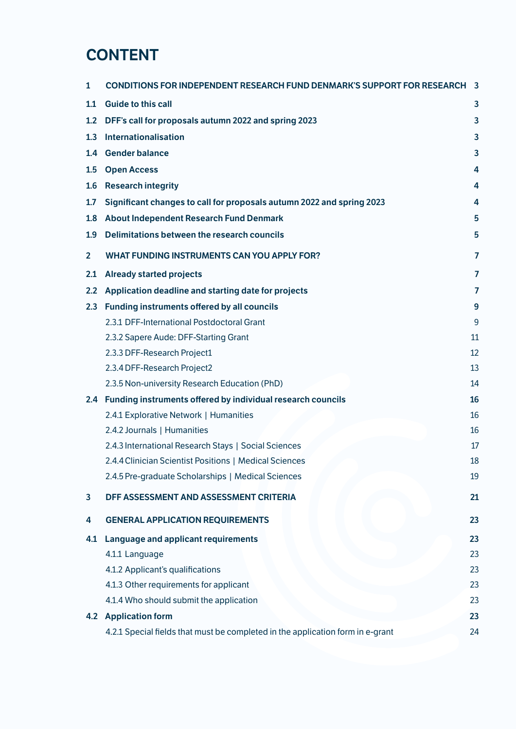## **CONTENT**

| 1              | <b>CONDITIONS FOR INDEPENDENT RESEARCH FUND DENMARK'S SUPPORT FOR RESEARCH</b> | 3              |
|----------------|--------------------------------------------------------------------------------|----------------|
| 1.1            | <b>Guide to this call</b>                                                      | 3              |
| 1.2            | DFF's call for proposals autumn 2022 and spring 2023                           | 3              |
| 1.3            | Internationalisation                                                           | 3              |
| 1.4            | <b>Gender balance</b>                                                          | 3              |
| 1.5            | <b>Open Access</b>                                                             | 4              |
| 1.6            | <b>Research integrity</b>                                                      | 4              |
| 1.7            | Significant changes to call for proposals autumn 2022 and spring 2023          | 4              |
| 1.8            | About Independent Research Fund Denmark                                        | 5              |
| 1.9            | Delimitations between the research councils                                    | 5              |
| $\overline{2}$ | <b>WHAT FUNDING INSTRUMENTS CAN YOU APPLY FOR?</b>                             | $\overline{7}$ |
| 2.1            | <b>Already started projects</b>                                                | 7              |
| 2.2            | Application deadline and starting date for projects                            | 7              |
| 2.3            | Funding instruments offered by all councils                                    | 9              |
|                | 2.3.1 DFF-International Postdoctoral Grant                                     | 9              |
|                | 2.3.2 Sapere Aude: DFF-Starting Grant                                          | 11             |
|                | 2.3.3 DFF-Research Project1                                                    | 12             |
|                | 2.3.4 DFF-Research Project2                                                    | 13             |
|                | 2.3.5 Non-university Research Education (PhD)                                  | 14             |
|                | 2.4 Funding instruments offered by individual research councils                | 16             |
|                | 2.4.1 Explorative Network   Humanities                                         | 16             |
|                | 2.4.2 Journals   Humanities                                                    | 16             |
|                | 2.4.3 International Research Stays   Social Sciences                           | 17             |
|                | 2.4.4 Clinician Scientist Positions   Medical Sciences                         | 18             |
|                | 2.4.5 Pre-graduate Scholarships   Medical Sciences                             | 19             |
| 3              | DFF ASSESSMENT AND ASSESSMENT CRITERIA                                         | 21             |
| 4              | <b>GENERAL APPLICATION REQUIREMENTS</b>                                        | 23             |
| 4.1            | Language and applicant requirements                                            | 23             |
|                | 4.1.1 Language                                                                 | 23             |
|                | 4.1.2 Applicant's qualifications                                               | 23             |
|                | 4.1.3 Other requirements for applicant                                         | 23             |
|                | 4.1.4 Who should submit the application                                        | 23             |
|                | <b>4.2 Application form</b>                                                    | 23             |
|                | 4.2.1 Special fields that must be completed in the application form in e-grant | 24             |
|                |                                                                                |                |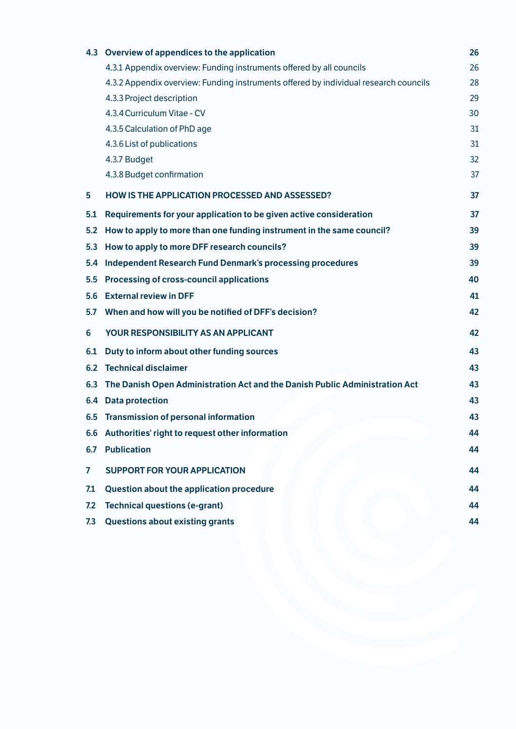| 4.3          | Overview of appendices to the application                                            | 26 |
|--------------|--------------------------------------------------------------------------------------|----|
|              | 4.3.1 Appendix overview: Funding instruments offered by all councils                 | 26 |
|              | 4.3.2 Appendix overview: Funding instruments offered by individual research councils | 28 |
|              | 4.3.3 Project description                                                            | 29 |
|              | 4.3.4 Curriculum Vitae - CV                                                          | 30 |
|              | 4.3.5 Calculation of PhD age                                                         | 31 |
|              | 4.3.6 List of publications                                                           | 31 |
|              | 4.3.7 Budget                                                                         | 32 |
|              | 4.3.8 Budget confirmation                                                            | 37 |
| 5            | <b>HOW IS THE APPLICATION PROCESSED AND ASSESSED?</b>                                | 37 |
| 5.1          | Requirements for your application to be given active consideration                   | 37 |
| 5.2          | How to apply to more than one funding instrument in the same council?                | 39 |
| 5.3          | How to apply to more DFF research councils?                                          | 39 |
| 5.4          | <b>Independent Research Fund Denmark's processing procedures</b>                     | 39 |
| 5.5          | Processing of cross-council applications                                             | 40 |
| 5.6          | <b>External review in DFF</b>                                                        | 41 |
| 5.7          | When and how will you be notified of DFF's decision?                                 | 42 |
| 6            | YOUR RESPONSIBILITY AS AN APPLICANT                                                  | 42 |
| 6.1          | Duty to inform about other funding sources                                           | 43 |
| 6.2          | <b>Technical disclaimer</b>                                                          | 43 |
| 6.3          | The Danish Open Administration Act and the Danish Public Administration Act          | 43 |
| 6.4          | <b>Data protection</b>                                                               | 43 |
|              | 6.5 Transmission of personal information                                             | 43 |
|              | 6.6 Authorities' right to request other information                                  | 44 |
| 6.7          | <b>Publication</b>                                                                   | 44 |
| $\mathbf{7}$ | <b>SUPPORT FOR YOUR APPLICATION</b>                                                  | 44 |
| 7.1          | Question about the application procedure                                             | 44 |
| 7.2          | <b>Technical questions (e-grant)</b>                                                 | 44 |
| 7.3          | <b>Questions about existing grants</b>                                               | 44 |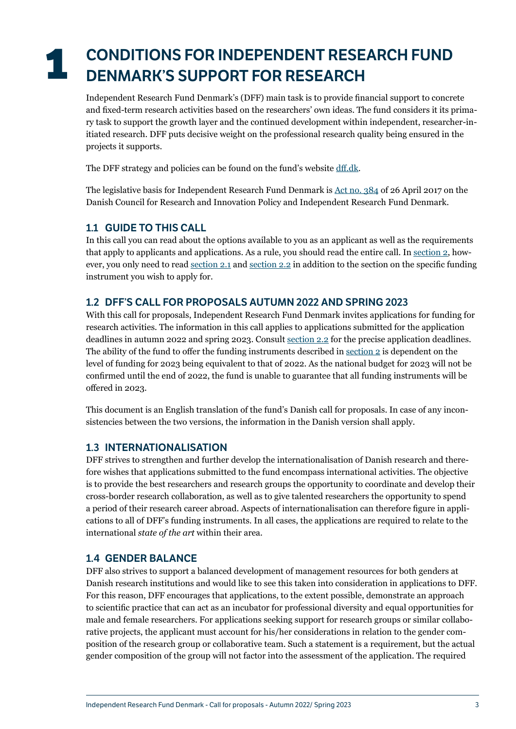## <span id="page-3-0"></span>**1** CONDITIONS FOR INDEPENDENT RESEARCH FUND DENMARK'S SUPPORT FOR RESEARCH

<span id="page-3-1"></span>Independent Research Fund Denmark's (DFF) main task is to provide financial support to concrete and fixed-term research activities based on the researchers' own ideas. The fund considers it its primary task to support the growth layer and the continued development within independent, researcher-initiated research. DFF puts decisive weight on the professional research quality being ensured in the projects it supports.

The DFF strategy and policies can be found on the fund's website [dff.dk.](https://dff.dk/en/about-us/goals-and-policies)

The legislative basis for Independent Research Fund Denmark is [Act no. 384](https://www.retsinformation.dk/eli/lta/2017/384) of 26 April 2017 on the Danish Council for Research and Innovation Policy and Independent Research Fund Denmark.

## 1.1 GUIDE TO THIS CALL

In this call you can read about the options available to you as an applicant as well as the requirements that apply to applicants and applications. As a rule, you should read the entire call. In [section 2,](#page-7-1) however, you only need to read [section 2.1](#page-7-2) and [section 2.2](#page-7-3) in addition to the section on the specific funding instrument you wish to apply for.

## 1.2 DFF'S CALL FOR PROPOSALS AUTUMN 2022 AND SPRING 2023

With this call for proposals, Independent Research Fund Denmark invites applications for funding for research activities. The information in this call applies to applications submitted for the application deadlines in autumn 2022 and spring 2023. Consult [section 2.2](#page-7-3) for the precise application deadlines. The ability of the fund to offer the funding instruments described in section  $2$  is dependent on the level of funding for 2023 being equivalent to that of 2022. As the national budget for 2023 will not be confirmed until the end of 2022, the fund is unable to guarantee that all funding instruments will be offered in 2023.

This document is an English translation of the fund's Danish call for proposals. In case of any inconsistencies between the two versions, the information in the Danish version shall apply.

## 1.3 INTERNATIONALISATION

DFF strives to strengthen and further develop the internationalisation of Danish research and therefore wishes that applications submitted to the fund encompass international activities. The objective is to provide the best researchers and research groups the opportunity to coordinate and develop their cross-border research collaboration, as well as to give talented researchers the opportunity to spend a period of their research career abroad. Aspects of internationalisation can therefore figure in applications to all of DFF's funding instruments. In all cases, the applications are required to relate to the international *state of the art* within their area.

## <span id="page-3-2"></span>1.4 GENDER BALANCE

DFF also strives to support a balanced development of management resources for both genders at Danish research institutions and would like to see this taken into consideration in applications to DFF. For this reason, DFF encourages that applications, to the extent possible, demonstrate an approach to scientific practice that can act as an incubator for professional diversity and equal opportunities for male and female researchers. For applications seeking support for research groups or similar collaborative projects, the applicant must account for his/her considerations in relation to the gender composition of the research group or collaborative team. Such a statement is a requirement, but the actual gender composition of the group will not factor into the assessment of the application. The required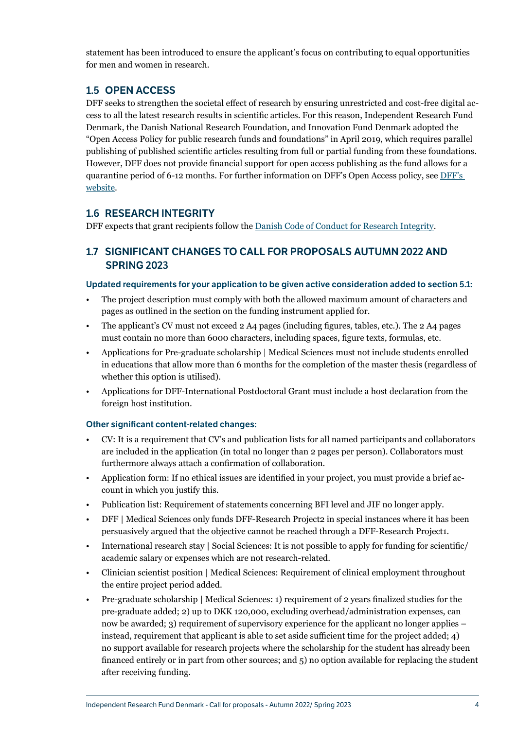<span id="page-4-0"></span>statement has been introduced to ensure the applicant's focus on contributing to equal opportunities for men and women in research.

## 1.5 OPEN ACCESS

DFF seeks to strengthen the societal effect of research by ensuring unrestricted and cost-free digital access to all the latest research results in scientific articles. For this reason, Independent Research Fund Denmark, the Danish National Research Foundation, and Innovation Fund Denmark adopted the "Open Access Policy for public research funds and foundations" in April 2019, which requires parallel publishing of published scientific articles resulting from full or partial funding from these foundations. However, DFF does not provide financial support for open access publishing as the fund allows for a quarantine period of 6-12 months. For further information on DFF's Open Access policy, see [DFF's](https://dff.dk/en/about-us/goals-and-policies/open-access-policy)  [website.](https://dff.dk/en/about-us/goals-and-policies/open-access-policy)

## 1.6 RESEARCH INTEGRITY

DFF expects that grant recipients follow the [Danish Code of Conduct for Research Integrity.](https://ufm.dk/en/publications/2014/the-danish-code-of-conduct-for-research-integrity)

## 1.7 SIGNIFICANT CHANGES TO CALL FOR PROPOSALS AUTUMN 2022 AND SPRING 2023

#### Updated requirements for your application to be given active consideration added to section 5.1:

- The project description must comply with both the allowed maximum amount of characters and pages as outlined in the section on the funding instrument applied for.
- The applicant's CV must not exceed 2 A4 pages (including figures, tables, etc.). The 2 A4 pages must contain no more than 6000 characters, including spaces, figure texts, formulas, etc.
- Applications for Pre-graduate scholarship | Medical Sciences must not include students enrolled in educations that allow more than 6 months for the completion of the master thesis (regardless of whether this option is utilised).
- Applications for DFF-International Postdoctoral Grant must include a host declaration from the foreign host institution.

#### Other significant content-related changes:

- CV: It is a requirement that CV's and publication lists for all named participants and collaborators are included in the application (in total no longer than 2 pages per person). Collaborators must furthermore always attach a confirmation of collaboration.
- Application form: If no ethical issues are identified in your project, you must provide a brief account in which you justify this.
- Publication list: Requirement of statements concerning BFI level and JIF no longer apply.
- DFF | Medical Sciences only funds DFF-Research Project2 in special instances where it has been persuasively argued that the objective cannot be reached through a DFF-Research Project1.
- International research stay | Social Sciences: It is not possible to apply for funding for scientific/ academic salary or expenses which are not research-related.
- Clinician scientist position | Medical Sciences: Requirement of clinical employment throughout the entire project period added.
- Pre-graduate scholarship | Medical Sciences: 1) requirement of 2 years finalized studies for the pre-graduate added; 2) up to DKK 120,000, excluding overhead/administration expenses, can now be awarded; 3) requirement of supervisory experience for the applicant no longer applies – instead, requirement that applicant is able to set aside sufficient time for the project added; 4) no support available for research projects where the scholarship for the student has already been financed entirely or in part from other sources; and 5) no option available for replacing the student after receiving funding.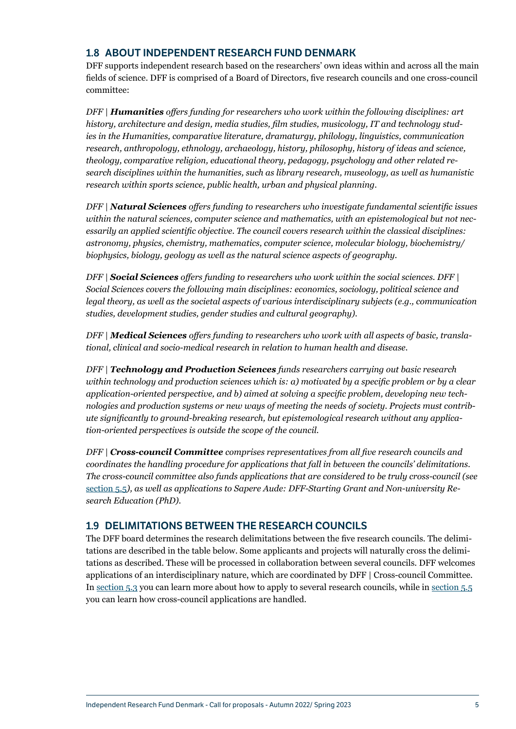## <span id="page-5-1"></span><span id="page-5-0"></span>1.8 ABOUT INDEPENDENT RESEARCH FUND DENMARK

DFF supports independent research based on the researchers' own ideas within and across all the main fields of science. DFF is comprised of a Board of Directors, five research councils and one cross-council committee:

*DFF | Humanities offers funding for researchers who work within the following disciplines: art history, architecture and design, media studies, film studies, musicology, IT and technology studies in the Humanities, comparative literature, dramaturgy, philology, linguistics, communication research, anthropology, ethnology, archaeology, history, philosophy, history of ideas and science, theology, comparative religion, educational theory, pedagogy, psychology and other related research disciplines within the humanities, such as library research, museology, as well as humanistic research within sports science, public health, urban and physical planning.*

*DFF | Natural Sciences offers funding to researchers who investigate fundamental scientific issues within the natural sciences, computer science and mathematics, with an epistemological but not necessarily an applied scientific objective. The council covers research within the classical disciplines: astronomy, physics, chemistry, mathematics, computer science, molecular biology, biochemistry/ biophysics, biology, geology as well as the natural science aspects of geography.* 

*DFF | Social Sciences offers funding to researchers who work within the social sciences. DFF | Social Sciences covers the following main disciplines: economics, sociology, political science and legal theory, as well as the societal aspects of various interdisciplinary subjects (e.g., communication studies, development studies, gender studies and cultural geography).*

*DFF | Medical Sciences offers funding to researchers who work with all aspects of basic, translational, clinical and socio-medical research in relation to human health and disease.*

*DFF | Technology and Production Sciences funds researchers carrying out basic research within technology and production sciences which is: a) motivated by a specific problem or by a clear application-oriented perspective, and b) aimed at solving a specific problem, developing new technologies and production systems or new ways of meeting the needs of society. Projects must contribute significantly to ground-breaking research, but epistemological research without any application-oriented perspectives is outside the scope of the council.*

*DFF | Cross-council Committee comprises representatives from all five research councils and coordinates the handling procedure for applications that fall in between the councils' delimitations. The cross-council committee also funds applications that are considered to be truly cross-council (see*  [section 5.5](#page-40-1)*), as well as applications to Sapere Aude: DFF-Starting Grant and Non-university Research Education (PhD).*

## <span id="page-5-2"></span>1.9 DELIMITATIONS BETWEEN THE RESEARCH COUNCILS

The DFF board determines the research delimitations between the five research councils. The delimitations are described in the table below. Some applicants and projects will naturally cross the delimitations as described. These will be processed in collaboration between several councils. DFF welcomes applications of an interdisciplinary nature, which are coordinated by DFF | Cross-council Committee. In [section 5.3](#page-39-1) you can learn more about how to apply to several research councils, while in [section 5.5](#page-40-1) you can learn how cross-council applications are handled.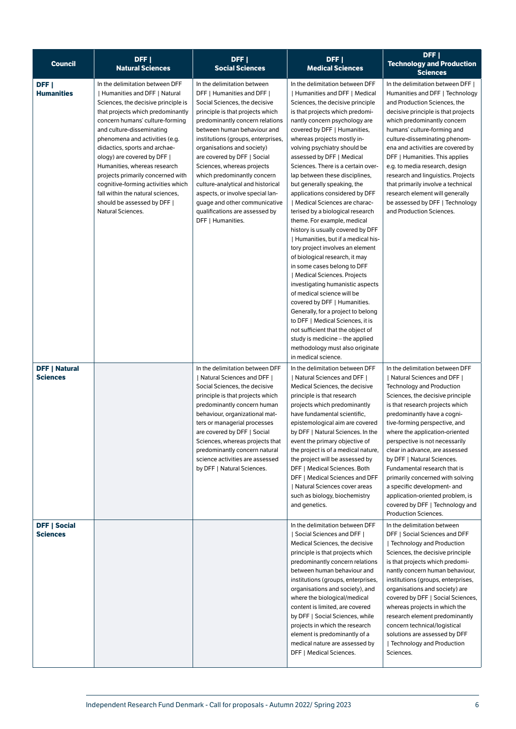| <b>Council</b>                          | DFF  <br><b>Natural Sciences</b>                                                                                                                                                                                                                                                                                                                                                                                                                                                                                  | DFF  <br><b>Social Sciences</b>                                                                                                                                                                                                                                                                                                                                                                                                                                                                                                   | DFF  <br><b>Medical Sciences</b>                                                                                                                                                                                                                                                                                                                                                                                                                                                                                                                                                                                                                                                                                                                                                                                                                                                                                                                                                                                                                                                   | DFF  <br><b>Technology and Production</b><br><b>Sciences</b>                                                                                                                                                                                                                                                                                                                                                                                                                                                                                                              |
|-----------------------------------------|-------------------------------------------------------------------------------------------------------------------------------------------------------------------------------------------------------------------------------------------------------------------------------------------------------------------------------------------------------------------------------------------------------------------------------------------------------------------------------------------------------------------|-----------------------------------------------------------------------------------------------------------------------------------------------------------------------------------------------------------------------------------------------------------------------------------------------------------------------------------------------------------------------------------------------------------------------------------------------------------------------------------------------------------------------------------|------------------------------------------------------------------------------------------------------------------------------------------------------------------------------------------------------------------------------------------------------------------------------------------------------------------------------------------------------------------------------------------------------------------------------------------------------------------------------------------------------------------------------------------------------------------------------------------------------------------------------------------------------------------------------------------------------------------------------------------------------------------------------------------------------------------------------------------------------------------------------------------------------------------------------------------------------------------------------------------------------------------------------------------------------------------------------------|---------------------------------------------------------------------------------------------------------------------------------------------------------------------------------------------------------------------------------------------------------------------------------------------------------------------------------------------------------------------------------------------------------------------------------------------------------------------------------------------------------------------------------------------------------------------------|
| DFF <sub>I</sub><br><b>Humanities</b>   | In the delimitation between DFF<br>Humanities and DFF   Natural<br>Sciences, the decisive principle is<br>that projects which predominantly<br>concern humans' culture-forming<br>and culture-disseminating<br>phenomena and activities (e.g.<br>didactics, sports and archae-<br>ology) are covered by DFF  <br>Humanities, whereas research<br>projects primarily concerned with<br>cognitive-forming activities which<br>fall within the natural sciences,<br>should be assessed by DFF  <br>Natural Sciences. | In the delimitation between<br>DFF   Humanities and DFF  <br>Social Sciences, the decisive<br>principle is that projects which<br>predominantly concern relations<br>between human behaviour and<br>institutions (groups, enterprises,<br>organisations and society)<br>are covered by DFF   Social<br>Sciences, whereas projects<br>which predominantly concern<br>culture-analytical and historical<br>aspects, or involve special lan-<br>guage and other communicative<br>qualifications are assessed by<br>DFF   Humanities. | In the delimitation between DFF<br>  Humanities and DFF   Medical<br>Sciences, the decisive principle<br>is that projects which predomi-<br>nantly concern psychology are<br>covered by DFF   Humanities,<br>whereas projects mostly in-<br>volving psychiatry should be<br>assessed by DFF   Medical<br>Sciences. There is a certain over-<br>lap between these disciplines,<br>but generally speaking, the<br>applications considered by DFF<br>  Medical Sciences are charac-<br>terised by a biological research<br>theme. For example, medical<br>history is usually covered by DFF<br>  Humanities, but if a medical his-<br>tory project involves an element<br>of biological research, it may<br>in some cases belong to DFF<br>  Medical Sciences. Projects<br>investigating humanistic aspects<br>of medical science will be<br>covered by DFF   Humanities.<br>Generally, for a project to belong<br>to DFF   Medical Sciences, it is<br>not sufficient that the object of<br>study is medicine – the applied<br>methodology must also originate<br>in medical science. | In the delimitation between DFF  <br>Humanities and DFF   Technology<br>and Production Sciences, the<br>decisive principle is that projects<br>which predominantly concern<br>humans' culture-forming and<br>culture-disseminating phenom-<br>ena and activities are covered by<br>DFF   Humanities. This applies<br>e.g. to media research, design<br>research and linguistics. Projects<br>that primarily involve a technical<br>research element will generally<br>be assessed by DFF   Technology<br>and Production Sciences.                                         |
| <b>DFF   Natural</b><br><b>Sciences</b> |                                                                                                                                                                                                                                                                                                                                                                                                                                                                                                                   | In the delimitation between DFF<br>  Natural Sciences and DFF  <br>Social Sciences, the decisive<br>principle is that projects which<br>predominantly concern human<br>behaviour, organizational mat-<br>ters or managerial processes<br>are covered by DFF   Social<br>Sciences, whereas projects that<br>predominantly concern natural<br>science activities are assessed<br>by DFF   Natural Sciences.                                                                                                                         | In the delimitation between DFF<br>  Natural Sciences and DFF  <br>Medical Sciences, the decisive<br>principle is that research<br>projects which predominantly<br>have fundamental scientific,<br>epistemological aim are covered<br>by DFF   Natural Sciences. In the<br>event the primary objective of<br>the project is of a medical nature,<br>the project will be assessed by<br>DFF   Medical Sciences. Both<br>DFF   Medical Sciences and DFF<br>  Natural Sciences cover areas<br>such as biology, biochemistry<br>and genetics.                                                                                                                                                                                                                                                                                                                                                                                                                                                                                                                                          | In the delimitation between DFF<br>  Natural Sciences and DFF  <br>Technology and Production<br>Sciences, the decisive principle<br>is that research projects which<br>predominantly have a cogni-<br>tive-forming perspective, and<br>where the application-oriented<br>perspective is not necessarily<br>clear in advance, are assessed<br>by DFF   Natural Sciences.<br>Fundamental research that is<br>primarily concerned with solving<br>a specific development- and<br>application-oriented problem, is<br>covered by DFF   Technology and<br>Production Sciences. |
| <b>DFF   Social</b><br><b>Sciences</b>  |                                                                                                                                                                                                                                                                                                                                                                                                                                                                                                                   |                                                                                                                                                                                                                                                                                                                                                                                                                                                                                                                                   | In the delimitation between DFF<br>  Social Sciences and DFF  <br>Medical Sciences, the decisive<br>principle is that projects which<br>predominantly concern relations<br>between human behaviour and<br>institutions (groups, enterprises,<br>organisations and society), and<br>where the biological/medical<br>content is limited, are covered<br>by DFF   Social Sciences, while<br>projects in which the research<br>element is predominantly of a<br>medical nature are assessed by<br>DFF   Medical Sciences.                                                                                                                                                                                                                                                                                                                                                                                                                                                                                                                                                              | In the delimitation between<br>DFF   Social Sciences and DFF<br>  Technology and Production<br>Sciences, the decisive principle<br>is that projects which predomi-<br>nantly concern human behaviour,<br>institutions (groups, enterprises,<br>organisations and society) are<br>covered by DFF   Social Sciences,<br>whereas projects in which the<br>research element predominantly<br>concern technical/logistical<br>solutions are assessed by DFF<br>Fechnology and Production<br>Sciences.                                                                          |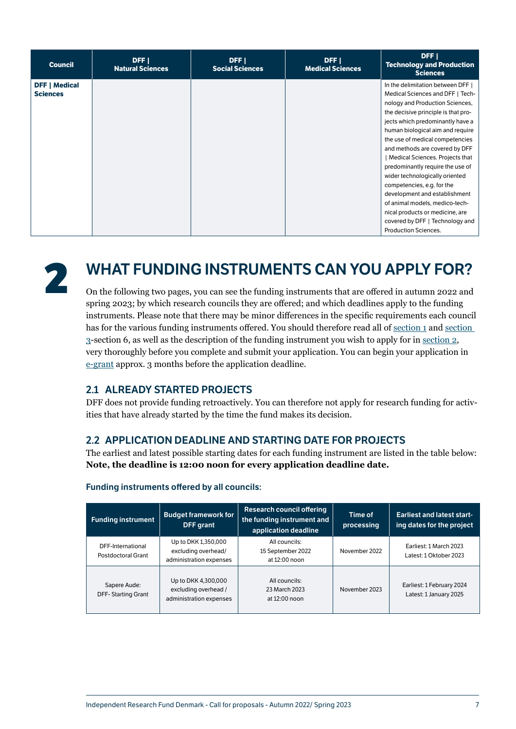<span id="page-7-0"></span>

| <b>Council</b>                          | DFF I<br><b>Natural Sciences</b> | DFF I<br><b>Social Sciences</b> | DFF  <br><b>Medical Sciences</b> | DFF  <br><b>Technology and Production</b><br><b>Sciences</b>                                                                                                                                                                                                                                                                                                                                                                                                                                                                                                                                           |
|-----------------------------------------|----------------------------------|---------------------------------|----------------------------------|--------------------------------------------------------------------------------------------------------------------------------------------------------------------------------------------------------------------------------------------------------------------------------------------------------------------------------------------------------------------------------------------------------------------------------------------------------------------------------------------------------------------------------------------------------------------------------------------------------|
| <b>DFF   Medical</b><br><b>Sciences</b> |                                  |                                 |                                  | In the delimitation between DFF  <br>Medical Sciences and DFF   Tech-<br>nology and Production Sciences,<br>the decisive principle is that pro-<br>jects which predominantly have a<br>human biological aim and require<br>the use of medical competencies<br>and methods are covered by DFF<br>  Medical Sciences. Projects that<br>predominantly require the use of<br>wider technologically oriented<br>competencies, e.g. for the<br>development and establishment<br>of animal models, medico-tech-<br>nical products or medicine, are<br>covered by DFF   Technology and<br>Production Sciences. |



## <span id="page-7-1"></span>**2** WHAT FUNDING INSTRUMENTS CAN YOU APPLY FOR?

On the following two pages, you can see the funding instruments that are offered in autumn 2022 and spring 2023; by which research councils they are offered; and which deadlines apply to the funding instruments. Please note that there may be minor differences in the specific requirements each council has for the various funding instruments offered. You should therefore read all of [section 1](#page-3-1) and section [3-](#page-21-1)section 6, as well as the description of the funding instrument you wish to apply for in [section 2](#page-7-1), very thoroughly before you complete and submit your application. You can begin your application in [e-grant](https://login.e-grant.dk/?wa=wsignin1.0&wtrealm=urn%3aTilskudsPortal&wctx=https%3a%2f%2fwww.e-grant.dk%2f_layouts%2f15%2fAuthenticate.aspx%3fSource%3dhttps%3a%2f%2fwww.e-grant.dk%2f) approx. 3 months before the application deadline.

## <span id="page-7-2"></span>2.1 ALREADY STARTED PROJECTS

DFF does not provide funding retroactively. You can therefore not apply for research funding for activities that have already started by the time the fund makes its decision.

## <span id="page-7-3"></span>2.2 APPLICATION DEADLINE AND STARTING DATE FOR PROJECTS

The earliest and latest possible starting dates for each funding instrument are listed in the table below: **Note, the deadline is 12:00 noon for every application deadline date.**

| Research council offering<br><b>Budget framework for</b><br>the funding instrument and<br><b>Funding instrument</b><br><b>DFF</b> grant<br>application deadline |                                                                                                                           | Time of<br>processing                               | <b>Earliest and latest start-</b><br>ing dates for the project |                                                     |
|-----------------------------------------------------------------------------------------------------------------------------------------------------------------|---------------------------------------------------------------------------------------------------------------------------|-----------------------------------------------------|----------------------------------------------------------------|-----------------------------------------------------|
| DFF-International<br>Postdoctoral Grant                                                                                                                         | Up to DKK 1,350,000<br>excluding overhead/<br>administration expenses                                                     | All councils:<br>15 September 2022<br>at 12:00 noon | November 2022                                                  | Earliest: 1 March 2023<br>Latest: 1 Oktober 2023    |
| Sapere Aude:<br><b>DFF-Starting Grant</b>                                                                                                                       | Up to DKK 4,300,000<br>All councils:<br>excluding overhead /<br>23 March 2023<br>administration expenses<br>at 12:00 noon |                                                     | November 2023                                                  | Earliest: 1 February 2024<br>Latest: 1 January 2025 |

#### Funding instruments offered by all councils: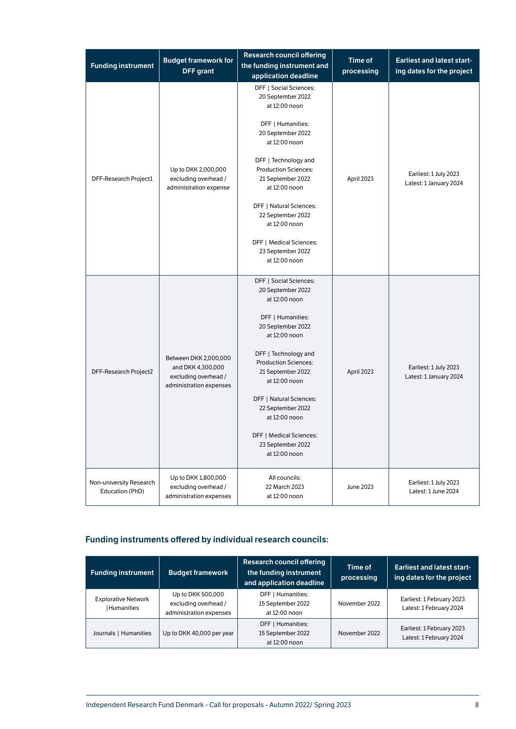| <b>Funding instrument</b>                  | <b>Budget framework for</b><br><b>DFF</b> grant                                               | <b>Research council offering</b><br>the funding instrument and<br>application deadline    | <b>Time of</b><br>processing | <b>Earliest and latest start-</b><br>ing dates for the project |
|--------------------------------------------|-----------------------------------------------------------------------------------------------|-------------------------------------------------------------------------------------------|------------------------------|----------------------------------------------------------------|
|                                            |                                                                                               | DFF   Social Sciences:<br>20 September 2022<br>at 12:00 noon                              |                              |                                                                |
|                                            |                                                                                               | DFF   Humanities:<br>20 September 2022<br>at 12:00 noon                                   |                              |                                                                |
| DFF-Research Project1                      | Up to DKK 2,000,000<br>excluding overhead /<br>administration expense                         | DFF   Technology and<br><b>Production Sciences:</b><br>21 September 2022<br>at 12:00 noon | April 2023                   | Earliest: 1 July 2023<br>Latest: 1 January 2024                |
|                                            |                                                                                               | DFF   Natural Sciences:<br>22 September 2022<br>at 12:00 noon                             |                              |                                                                |
|                                            |                                                                                               | DFF   Medical Sciences:<br>23 September 2022<br>at 12:00 noon                             |                              |                                                                |
|                                            |                                                                                               | DFF   Social Sciences:<br>20 September 2022<br>at 12:00 noon                              |                              |                                                                |
|                                            |                                                                                               | DFF   Humanities:<br>20 September 2022<br>at 12:00 noon                                   |                              |                                                                |
| DFF-Research Project2                      | Between DKK 2,000,000<br>and DKK 4,300,000<br>excluding overhead /<br>administration expenses | DFF   Technology and<br><b>Production Sciences:</b><br>21 September 2022<br>at 12:00 noon | April 2023                   | Earliest: 1 July 2023<br>Latest: 1 January 2024                |
|                                            |                                                                                               | DFF   Natural Sciences:<br>22 September 2022<br>at 12:00 noon                             |                              |                                                                |
|                                            |                                                                                               | DFF   Medical Sciences:<br>23 September 2022<br>at 12:00 noon                             |                              |                                                                |
| Non-university Research<br>Education (PhD) | Up to DKK 1,800,000<br>excluding overhead /<br>administration expenses                        | All councils:<br>22 March 2023<br>at 12:00 noon                                           | June 2023                    | Earliest: 1 July 2023<br>Latest: 1 June 2024                   |

## Funding instruments offered by individual research councils:

| <b>Funding instrument</b><br><b>Budget framework</b> |                                                                      | <b>Research council offering</b><br>the funding instrument<br>and application deadline | Time of<br>processing | <b>Earliest and latest start-</b><br>ing dates for the project |  |  |
|------------------------------------------------------|----------------------------------------------------------------------|----------------------------------------------------------------------------------------|-----------------------|----------------------------------------------------------------|--|--|
| <b>Explorative Network</b><br><b>Humanities</b>      | Up to DKK 500,000<br>excluding overhead /<br>administration expenses | DFF   Humanities:<br>15 September 2022<br>at 12:00 noon                                | November 2022         | Earliest: 1 February 2023<br>Latest: 1 February 2024           |  |  |
| Journals   Humanities                                | Up to DKK 40,000 per year                                            | DFF   Humanities:<br>15 September 2022<br>at 12:00 noon                                | November 2022         | Earliest: 1 February 2023<br>Latest: 1 February 2024           |  |  |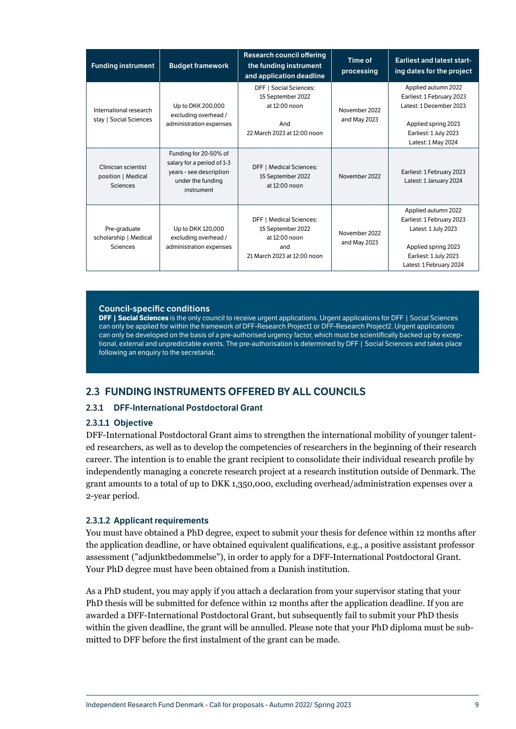<span id="page-9-0"></span>

| <b>Funding instrument</b>                             | <b>Budget framework</b>                                                                                           | <b>Research council offering</b><br>the funding instrument<br>and application deadline                     | <b>Time of</b><br>processing  | <b>Earliest and latest start-</b><br>ing dates for the project                                                                                     |
|-------------------------------------------------------|-------------------------------------------------------------------------------------------------------------------|------------------------------------------------------------------------------------------------------------|-------------------------------|----------------------------------------------------------------------------------------------------------------------------------------------------|
| International research<br>stay   Social Sciences      | Up to DKK 200,000<br>excluding overhead /<br>administration expenses                                              | <b>DFF   Social Sciences:</b><br>15 September 2022<br>at 12:00 noon<br>And<br>22 March 2023 at 12:00 noon  | November 2022<br>and May 2023 | Applied autumn 2022<br>Earliest: 1 February 2023<br>Latest: 1 December 2023<br>Applied spring 2023<br>Earliest: 1 July 2023<br>Latest: 1 May 2024  |
| Clinician scientist<br>position   Medical<br>Sciences | Funding for 20-50% of<br>salary for a period of 1-3<br>years - see description<br>under the funding<br>instrument | <b>DFF   Medical Sciences:</b><br>15 September 2022<br>at 12:00 noon                                       | November 2022                 | Earliest: 1 February 2023<br>Latest: 1 January 2024                                                                                                |
| Pre-graduate<br>scholarship   Medical<br>Sciences     | Up to DKK 120,000<br>excluding overhead /<br>administration expenses                                              | <b>DFF</b>   Medical Sciences:<br>15 September 2022<br>at 12:00 noon<br>and<br>21 March 2023 at 12:00 noon | November 2022<br>and May 2023 | Applied autumn 2022<br>Earliest: 1 February 2023<br>Latest: 1 July 2023<br>Applied spring 2023<br>Earliest: 1 July 2023<br>Latest: 1 February 2024 |

#### Council-specific conditions

**DFF | Social Sciences** is the only council to receive urgent applications. Urgent applications for DFF | Social Sciences can only be applied for within the framework of DFF-Research Project1 or DFF-Research Project2. Urgent applications can only be developed on the basis of a pre-authorised urgency factor, which must be scientifically backed up by exceptional, external and unpredictable events. The pre-authorisation is determined by DFF | Social Sciences and takes place following an enquiry to the secretariat.

## 2.3 FUNDING INSTRUMENTS OFFERED BY ALL COUNCILS

#### <span id="page-9-1"></span>2.3.1 DFF-International Postdoctoral Grant

#### 2.3.1.1 Objective

DFF-International Postdoctoral Grant aims to strengthen the international mobility of younger talented researchers, as well as to develop the competencies of researchers in the beginning of their research career. The intention is to enable the grant recipient to consolidate their individual research profile by independently managing a concrete research project at a research institution outside of Denmark. The grant amounts to a total of up to DKK 1,350,000, excluding overhead/administration expenses over a 2-year period.

#### <span id="page-9-2"></span>2.3.1.2 Applicant requirements

You must have obtained a PhD degree, expect to submit your thesis for defence within 12 months after the application deadline, or have obtained equivalent qualifications, e.g., a positive assistant professor assessment ("adjunktbedømmelse"), in order to apply for a DFF-International Postdoctoral Grant. Your PhD degree must have been obtained from a Danish institution.

As a PhD student, you may apply if you attach a declaration from your supervisor stating that your PhD thesis will be submitted for defence within 12 months after the application deadline. If you are awarded a DFF-International Postdoctoral Grant, but subsequently fail to submit your PhD thesis within the given deadline, the grant will be annulled. Please note that your PhD diploma must be submitted to DFF before the first instalment of the grant can be made.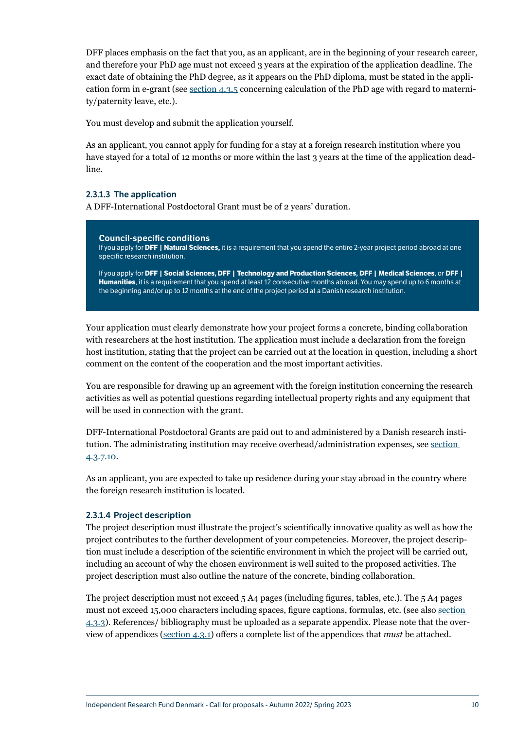DFF places emphasis on the fact that you, as an applicant, are in the beginning of your research career, and therefore your PhD age must not exceed 3 years at the expiration of the application deadline. The exact date of obtaining the PhD degree, as it appears on the PhD diploma, must be stated in the application form in e-grant (see [section 4.3.5](#page-31-1) concerning calculation of the PhD age with regard to maternity/paternity leave, etc.).

You must develop and submit the application yourself.

As an applicant, you cannot apply for funding for a stay at a foreign research institution where you have stayed for a total of 12 months or more within the last 3 years at the time of the application deadline.

#### <span id="page-10-0"></span>2.3.1.3 The application

A DFF-International Postdoctoral Grant must be of 2 years' duration.

Council-specific conditions If you apply for **DFF | Natural Sciences,** it is a requirement that you spend the entire 2-year project period abroad at one specific research institution. If you apply for **DFF | Social Sciences, DFF | Technology and Production Sciences, DFF | Medical Sciences**, or **DFF | Humanities**, it is a requirement that you spend at least 12 consecutive months abroad. You may spend up to 6 months at the beginning and/or up to 12 months at the end of the project period at a Danish research institution.

Your application must clearly demonstrate how your project forms a concrete, binding collaboration with researchers at the host institution. The application must include a declaration from the foreign host institution, stating that the project can be carried out at the location in question, including a short comment on the content of the cooperation and the most important activities.

You are responsible for drawing up an agreement with the foreign institution concerning the research activities as well as potential questions regarding intellectual property rights and any equipment that will be used in connection with the grant.

DFF-International Postdoctoral Grants are paid out to and administered by a Danish research institution. The administrating institution may receive overhead/administration expenses, see [section](#page-36-0)  [4.3.7.10.](#page-36-0)

As an applicant, you are expected to take up residence during your stay abroad in the country where the foreign research institution is located.

#### 2.3.1.4 Project description

The project description must illustrate the project's scientifically innovative quality as well as how the project contributes to the further development of your competencies. Moreover, the project description must include a description of the scientific environment in which the project will be carried out, including an account of why the chosen environment is well suited to the proposed activities. The project description must also outline the nature of the concrete, binding collaboration.

The project description must not exceed 5 A4 pages (including figures, tables, etc.). The 5 A4 pages must not exceed 15,000 characters including spaces, figure captions, formulas, etc. (see also [section](#page-29-1)  [4.3.3](#page-29-1)). References/ bibliography must be uploaded as a separate appendix. Please note that the overview of appendices ([section 4.3.1](#page-26-1)) offers a complete list of the appendices that *must* be attached.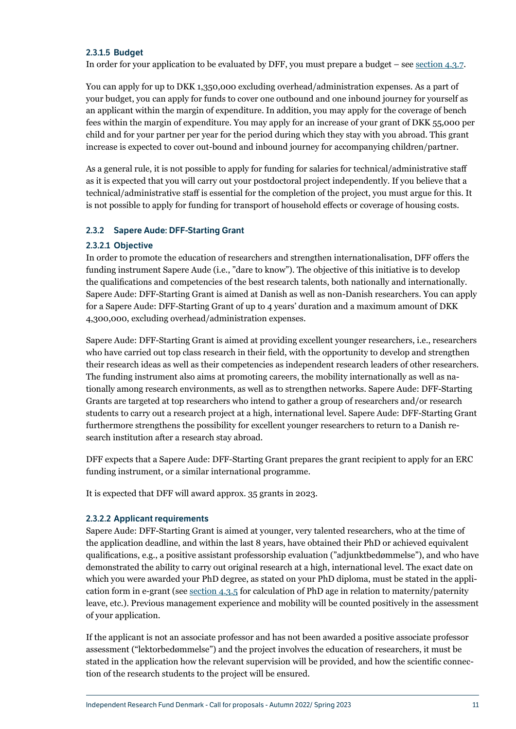#### <span id="page-11-0"></span>2.3.1.5 Budget

In order for your application to be evaluated by DFF, you must prepare a budget – see [section 4.3.7](#page-32-1).

You can apply for up to DKK 1,350,000 excluding overhead/administration expenses. As a part of your budget, you can apply for funds to cover one outbound and one inbound journey for yourself as an applicant within the margin of expenditure. In addition, you may apply for the coverage of bench fees within the margin of expenditure. You may apply for an increase of your grant of DKK 55,000 per child and for your partner per year for the period during which they stay with you abroad. This grant increase is expected to cover out-bound and inbound journey for accompanying children/partner.

As a general rule, it is not possible to apply for funding for salaries for technical/administrative staff as it is expected that you will carry out your postdoctoral project independently. If you believe that a technical/administrative staff is essential for the completion of the project, you must argue for this. It is not possible to apply for funding for transport of household effects or coverage of housing costs.

#### 2.3.2 Sapere Aude: DFF-Starting Grant

#### 2.3.2.1 Objective

In order to promote the education of researchers and strengthen internationalisation, DFF offers the funding instrument Sapere Aude (i.e., "dare to know"). The objective of this initiative is to develop the qualifications and competencies of the best research talents, both nationally and internationally. Sapere Aude: DFF-Starting Grant is aimed at Danish as well as non-Danish researchers. You can apply for a Sapere Aude: DFF-Starting Grant of up to 4 years' duration and a maximum amount of DKK 4,300,000, excluding overhead/administration expenses.

Sapere Aude: DFF-Starting Grant is aimed at providing excellent younger researchers, i.e., researchers who have carried out top class research in their field, with the opportunity to develop and strengthen their research ideas as well as their competencies as independent research leaders of other researchers. The funding instrument also aims at promoting careers, the mobility internationally as well as nationally among research environments, as well as to strengthen networks. Sapere Aude: DFF-Starting Grants are targeted at top researchers who intend to gather a group of researchers and/or research students to carry out a research project at a high, international level. Sapere Aude: DFF-Starting Grant furthermore strengthens the possibility for excellent younger researchers to return to a Danish research institution after a research stay abroad.

DFF expects that a Sapere Aude: DFF-Starting Grant prepares the grant recipient to apply for an ERC funding instrument, or a similar international programme.

It is expected that DFF will award approx. 35 grants in 2023.

#### <span id="page-11-1"></span>2.3.2.2 Applicant requirements

Sapere Aude: DFF-Starting Grant is aimed at younger, very talented researchers, who at the time of the application deadline, and within the last 8 years, have obtained their PhD or achieved equivalent qualifications, e.g., a positive assistant professorship evaluation ("adjunktbedømmelse"), and who have demonstrated the ability to carry out original research at a high, international level. The exact date on which you were awarded your PhD degree, as stated on your PhD diploma, must be stated in the application form in e-grant (see [section 4.3.5](#page-31-1) for calculation of PhD age in relation to maternity/paternity leave, etc.). Previous management experience and mobility will be counted positively in the assessment of your application.

If the applicant is not an associate professor and has not been awarded a positive associate professor assessment ("lektorbedømmelse") and the project involves the education of researchers, it must be stated in the application how the relevant supervision will be provided, and how the scientific connection of the research students to the project will be ensured.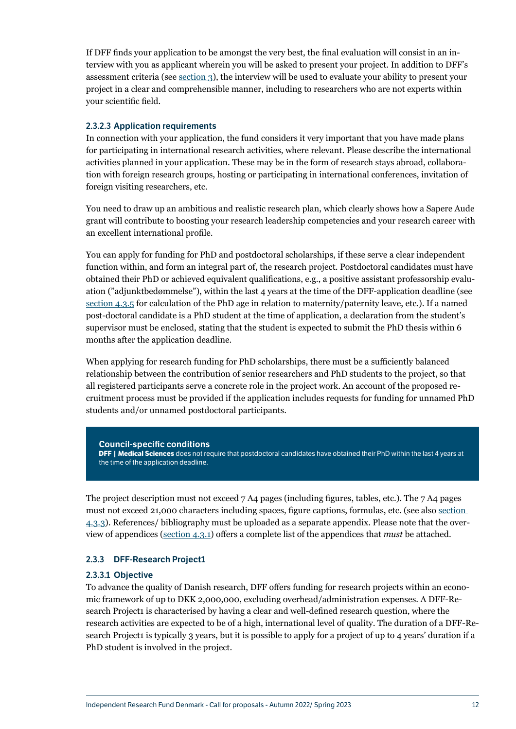<span id="page-12-0"></span>If DFF finds your application to be amongst the very best, the final evaluation will consist in an interview with you as applicant wherein you will be asked to present your project. In addition to DFF's assessment criteria (see [section 3\)](#page-21-1), the interview will be used to evaluate your ability to present your project in a clear and comprehensible manner, including to researchers who are not experts within your scientific field.

#### 2.3.2.3 Application requirements

In connection with your application, the fund considers it very important that you have made plans for participating in international research activities, where relevant. Please describe the international activities planned in your application. These may be in the form of research stays abroad, collaboration with foreign research groups, hosting or participating in international conferences, invitation of foreign visiting researchers, etc.

You need to draw up an ambitious and realistic research plan, which clearly shows how a Sapere Aude grant will contribute to boosting your research leadership competencies and your research career with an excellent international profile.

You can apply for funding for PhD and postdoctoral scholarships, if these serve a clear independent function within, and form an integral part of, the research project. Postdoctoral candidates must have obtained their PhD or achieved equivalent qualifications, e.g., a positive assistant professorship evaluation ("adjunktbedømmelse"), within the last 4 years at the time of the DFF-application deadline (see [section 4.3.5](#page-31-1) for calculation of the PhD age in relation to maternity/paternity leave, etc.). If a named post-doctoral candidate is a PhD student at the time of application, a declaration from the student's supervisor must be enclosed, stating that the student is expected to submit the PhD thesis within 6 months after the application deadline.

When applying for research funding for PhD scholarships, there must be a sufficiently balanced relationship between the contribution of senior researchers and PhD students to the project, so that all registered participants serve a concrete role in the project work. An account of the proposed recruitment process must be provided if the application includes requests for funding for unnamed PhD students and/or unnamed postdoctoral participants.

#### Council-specific conditions

**DFF | Medical Sciences** does not require that postdoctoral candidates have obtained their PhD within the last 4 years at the time of the application deadline.

The project description must not exceed  $7 \text{ A}4$  pages (including figures, tables, etc.). The  $7 \text{ A}4$  pages must not exceed 21,000 characters including spaces, figure captions, formulas, etc. (see also [section](#page-29-1)  [4.3.3](#page-29-1)). References/ bibliography must be uploaded as a separate appendix. Please note that the overview of appendices ([section 4.3.1](#page-26-1)) offers a complete list of the appendices that *must* be attached.

#### 2.3.3 DFF-Research Project1

#### 2.3.3.1 Objective

To advance the quality of Danish research, DFF offers funding for research projects within an economic framework of up to DKK 2,000,000, excluding overhead/administration expenses. A DFF-Research Project1 is characterised by having a clear and well-defined research question, where the research activities are expected to be of a high, international level of quality. The duration of a DFF-Research Project1 is typically 3 years, but it is possible to apply for a project of up to 4 years' duration if a PhD student is involved in the project.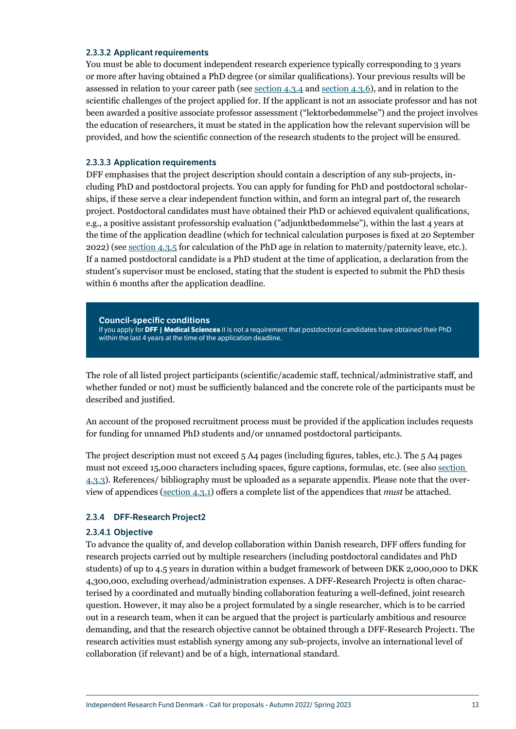#### <span id="page-13-0"></span>2.3.3.2 Applicant requirements

You must be able to document independent research experience typically corresponding to 3 years or more after having obtained a PhD degree (or similar qualifications). Your previous results will be assessed in relation to your career path (see [section 4.3.4](#page-30-1) and [section 4.3.6](#page-31-2)), and in relation to the scientific challenges of the project applied for. If the applicant is not an associate professor and has not been awarded a positive associate professor assessment ("lektorbedømmelse") and the project involves the education of researchers, it must be stated in the application how the relevant supervision will be provided, and how the scientific connection of the research students to the project will be ensured.

#### 2.3.3.3 Application requirements

DFF emphasises that the project description should contain a description of any sub-projects, including PhD and postdoctoral projects. You can apply for funding for PhD and postdoctoral scholarships, if these serve a clear independent function within, and form an integral part of, the research project. Postdoctoral candidates must have obtained their PhD or achieved equivalent qualifications, e.g., a positive assistant professorship evaluation ("adjunktbedømmelse"), within the last 4 years at the time of the application deadline (which for technical calculation purposes is fixed at 20 September 2022) (see [section 4.3.5](#page-31-1) for calculation of the PhD age in relation to maternity/paternity leave, etc.). If a named postdoctoral candidate is a PhD student at the time of application, a declaration from the student's supervisor must be enclosed, stating that the student is expected to submit the PhD thesis within 6 months after the application deadline.

Council-specific conditions If you apply for **DFF | Medical Sciences** it is not a requirement that postdoctoral candidates have obtained their PhD within the last 4 years at the time of the application deadline.

The role of all listed project participants (scientific/academic staff, technical/administrative staff, and whether funded or not) must be sufficiently balanced and the concrete role of the participants must be described and justified.

An account of the proposed recruitment process must be provided if the application includes requests for funding for unnamed PhD students and/or unnamed postdoctoral participants.

The project description must not exceed 5 A4 pages (including figures, tables, etc.). The 5 A4 pages must not exceed 15,000 characters including spaces, figure captions, formulas, etc. (see also [section](#page-29-1)  [4.3.3](#page-29-1)). References/ bibliography must be uploaded as a separate appendix. Please note that the overview of appendices ([section 4.3.1](#page-26-1)) offers a complete list of the appendices that *must* be attached.

#### 2.3.4 DFF-Research Project2

#### 2.3.4.1 Objective

To advance the quality of, and develop collaboration within Danish research, DFF offers funding for research projects carried out by multiple researchers (including postdoctoral candidates and PhD students) of up to 4.5 years in duration within a budget framework of between DKK 2,000,000 to DKK 4,300,000, excluding overhead/administration expenses. A DFF-Research Project2 is often characterised by a coordinated and mutually binding collaboration featuring a well-defined, joint research question. However, it may also be a project formulated by a single researcher, which is to be carried out in a research team, when it can be argued that the project is particularly ambitious and resource demanding, and that the research objective cannot be obtained through a DFF-Research Project1. The research activities must establish synergy among any sub-projects, involve an international level of collaboration (if relevant) and be of a high, international standard.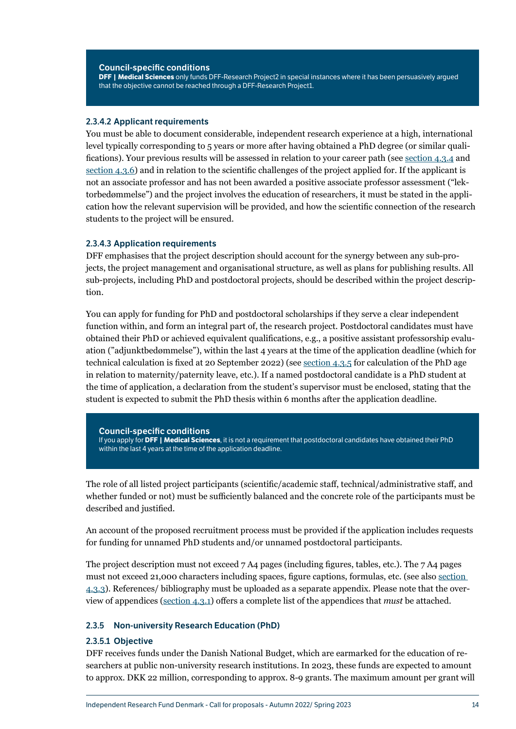#### <span id="page-14-0"></span>Council-specific conditions

**DFF | Medical Sciences** only funds DFF-Research Project2 in special instances where it has been persuasively argued that the objective cannot be reached through a DFF-Research Project1.

#### 2.3.4.2 Applicant requirements

You must be able to document considerable, independent research experience at a high, international level typically corresponding to 5 years or more after having obtained a PhD degree (or similar qualifications). Your previous results will be assessed in relation to your career path (see [section 4.3.4](#page-30-1) and [section 4.3.6](#page-31-2)) and in relation to the scientific challenges of the project applied for. If the applicant is not an associate professor and has not been awarded a positive associate professor assessment ("lektorbedømmelse") and the project involves the education of researchers, it must be stated in the application how the relevant supervision will be provided, and how the scientific connection of the research students to the project will be ensured.

#### 2.3.4.3 Application requirements

DFF emphasises that the project description should account for the synergy between any sub-projects, the project management and organisational structure, as well as plans for publishing results. All sub-projects, including PhD and postdoctoral projects, should be described within the project description.

You can apply for funding for PhD and postdoctoral scholarships if they serve a clear independent function within, and form an integral part of, the research project. Postdoctoral candidates must have obtained their PhD or achieved equivalent qualifications, e.g., a positive assistant professorship evaluation ("adjunktbedømmelse"), within the last 4 years at the time of the application deadline (which for technical calculation is fixed at 20 September 2022) (see [section 4.3.5](#page-31-1) for calculation of the PhD age in relation to maternity/paternity leave, etc.). If a named postdoctoral candidate is a PhD student at the time of application, a declaration from the student's supervisor must be enclosed, stating that the student is expected to submit the PhD thesis within 6 months after the application deadline.

Council-specific conditions If you apply for **DFF | Medical Sciences**, it is not a requirement that postdoctoral candidates have obtained their PhD within the last 4 years at the time of the application deadline.

The role of all listed project participants (scientific/academic staff, technical/administrative staff, and whether funded or not) must be sufficiently balanced and the concrete role of the participants must be described and justified.

An account of the proposed recruitment process must be provided if the application includes requests for funding for unnamed PhD students and/or unnamed postdoctoral participants.

The project description must not exceed 7 A4 pages (including figures, tables, etc.). The 7 A4 pages must not exceed 21,000 characters including spaces, figure captions, formulas, etc. (see also [section](#page-29-1)  [4.3.3](#page-29-1)). References/ bibliography must be uploaded as a separate appendix. Please note that the overview of appendices ([section 4.3.1](#page-26-1)) offers a complete list of the appendices that *must* be attached.

#### 2.3.5 Non-university Research Education (PhD)

#### <span id="page-14-1"></span>2.3.5.1 Objective

DFF receives funds under the Danish National Budget, which are earmarked for the education of researchers at public non-university research institutions. In 2023, these funds are expected to amount to approx. DKK 22 million, corresponding to approx. 8-9 grants. The maximum amount per grant will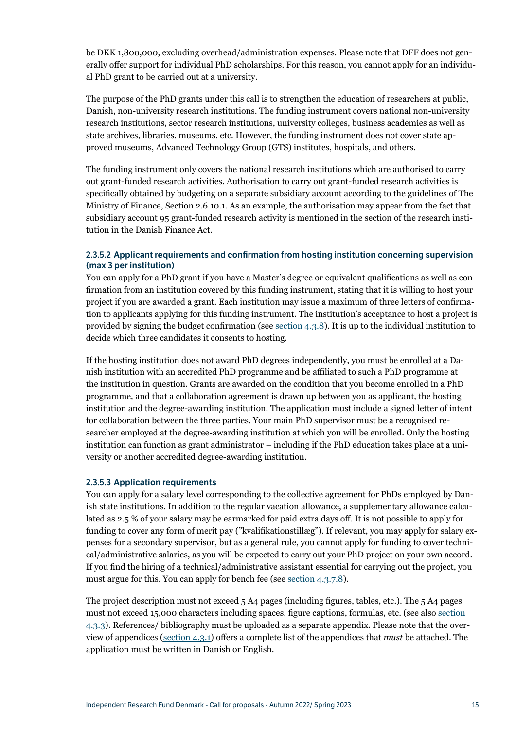be DKK 1,800,000, excluding overhead/administration expenses. Please note that DFF does not generally offer support for individual PhD scholarships. For this reason, you cannot apply for an individual PhD grant to be carried out at a university.

The purpose of the PhD grants under this call is to strengthen the education of researchers at public, Danish, non-university research institutions. The funding instrument covers national non-university research institutions, sector research institutions, university colleges, business academies as well as state archives, libraries, museums, etc. However, the funding instrument does not cover state approved museums, Advanced Technology Group (GTS) institutes, hospitals, and others.

The funding instrument only covers the national research institutions which are authorised to carry out grant-funded research activities. Authorisation to carry out grant-funded research activities is specifically obtained by budgeting on a separate subsidiary account according to the guidelines of The Ministry of Finance, Section 2.6.10.1. As an example, the authorisation may appear from the fact that subsidiary account 95 grant-funded research activity is mentioned in the section of the research institution in the Danish Finance Act.

#### <span id="page-15-0"></span>2.3.5.2 Applicant requirements and confirmation from hosting institution concerning supervision (max 3 per institution)

You can apply for a PhD grant if you have a Master's degree or equivalent qualifications as well as confirmation from an institution covered by this funding instrument, stating that it is willing to host your project if you are awarded a grant. Each institution may issue a maximum of three letters of confirmation to applicants applying for this funding instrument. The institution's acceptance to host a project is provided by signing the budget confirmation (see [section 4.3.8](#page-37-1)). It is up to the individual institution to decide which three candidates it consents to hosting.

If the hosting institution does not award PhD degrees independently, you must be enrolled at a Danish institution with an accredited PhD programme and be affiliated to such a PhD programme at the institution in question. Grants are awarded on the condition that you become enrolled in a PhD programme, and that a collaboration agreement is drawn up between you as applicant, the hosting institution and the degree-awarding institution. The application must include a signed letter of intent for collaboration between the three parties. Your main PhD supervisor must be a recognised researcher employed at the degree-awarding institution at which you will be enrolled. Only the hosting institution can function as grant administrator – including if the PhD education takes place at a university or another accredited degree-awarding institution.

#### 2.3.5.3 Application requirements

You can apply for a salary level corresponding to the collective agreement for PhDs employed by Danish state institutions. In addition to the regular vacation allowance, a supplementary allowance calculated as 2.5 % of your salary may be earmarked for paid extra days off. It is not possible to apply for funding to cover any form of merit pay ("kvalifikationstillæg"). If relevant, you may apply for salary expenses for a secondary supervisor, but as a general rule, you cannot apply for funding to cover technical/administrative salaries, as you will be expected to carry out your PhD project on your own accord. If you find the hiring of a technical/administrative assistant essential for carrying out the project, you must argue for this. You can apply for bench fee (see [section 4.3.7.8](#page-35-0)).

The project description must not exceed 5 A4 pages (including figures, tables, etc.). The 5 A4 pages must not exceed 15,000 characters including spaces, figure captions, formulas, etc. (see also [section](#page-29-1)  [4.3.3](#page-29-1)). References/ bibliography must be uploaded as a separate appendix. Please note that the overview of appendices ([section 4.3.1](#page-26-1)) offers a complete list of the appendices that *must* be attached. The application must be written in Danish or English.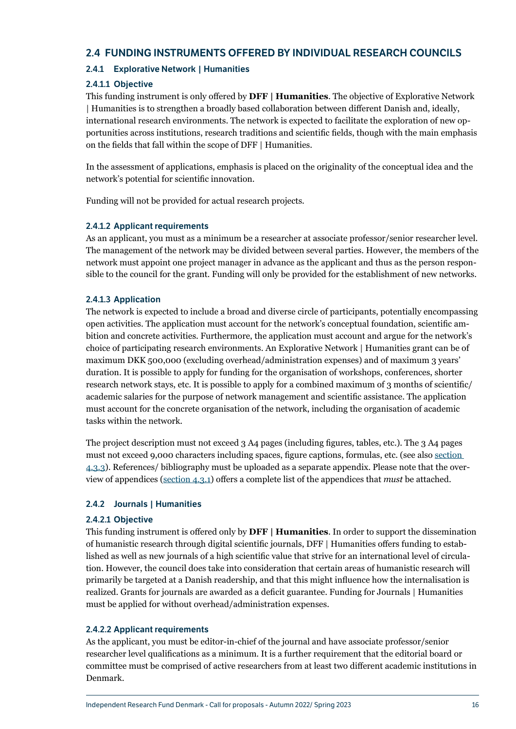## <span id="page-16-0"></span>2.4 FUNDING INSTRUMENTS OFFERED BY INDIVIDUAL RESEARCH COUNCILS

## 2.4.1 Explorative Network | Humanities

## 2.4.1.1 Objective

This funding instrument is only offered by **DFF | Humanities**. The objective of Explorative Network | Humanities is to strengthen a broadly based collaboration between different Danish and, ideally, international research environments. The network is expected to facilitate the exploration of new opportunities across institutions, research traditions and scientific fields, though with the main emphasis on the fields that fall within the scope of DFF | Humanities.

In the assessment of applications, emphasis is placed on the originality of the conceptual idea and the network's potential for scientific innovation.

Funding will not be provided for actual research projects.

## 2.4.1.2 Applicant requirements

As an applicant, you must as a minimum be a researcher at associate professor/senior researcher level. The management of the network may be divided between several parties. However, the members of the network must appoint one project manager in advance as the applicant and thus as the person responsible to the council for the grant. Funding will only be provided for the establishment of new networks.

#### 2.4.1.3 Application

The network is expected to include a broad and diverse circle of participants, potentially encompassing open activities. The application must account for the network's conceptual foundation, scientific ambition and concrete activities. Furthermore, the application must account and argue for the network's choice of participating research environments. An Explorative Network | Humanities grant can be of maximum DKK 500,000 (excluding overhead/administration expenses) and of maximum 3 years' duration. It is possible to apply for funding for the organisation of workshops, conferences, shorter research network stays, etc. It is possible to apply for a combined maximum of 3 months of scientific/ academic salaries for the purpose of network management and scientific assistance. The application must account for the concrete organisation of the network, including the organisation of academic tasks within the network.

The project description must not exceed 3 A4 pages (including figures, tables, etc.). The 3 A4 pages must not exceed 9,000 characters including spaces, figure captions, formulas, etc. (see also [section](#page-29-1)  [4.3.3](#page-29-1)). References/ bibliography must be uploaded as a separate appendix. Please note that the overview of appendices ([section 4.3.1](#page-26-1)) offers a complete list of the appendices that *must* be attached.

## 2.4.2 Journals | Humanities

#### 2.4.2.1 Objective

This funding instrument is offered only by **DFF | Humanities**. In order to support the dissemination of humanistic research through digital scientific journals, DFF | Humanities offers funding to established as well as new journals of a high scientific value that strive for an international level of circulation. However, the council does take into consideration that certain areas of humanistic research will primarily be targeted at a Danish readership, and that this might influence how the internalisation is realized. Grants for journals are awarded as a deficit guarantee. Funding for Journals | Humanities must be applied for without overhead/administration expenses.

#### 2.4.2.2 Applicant requirements

As the applicant, you must be editor-in-chief of the journal and have associate professor/senior researcher level qualifications as a minimum. It is a further requirement that the editorial board or committee must be comprised of active researchers from at least two different academic institutions in Denmark.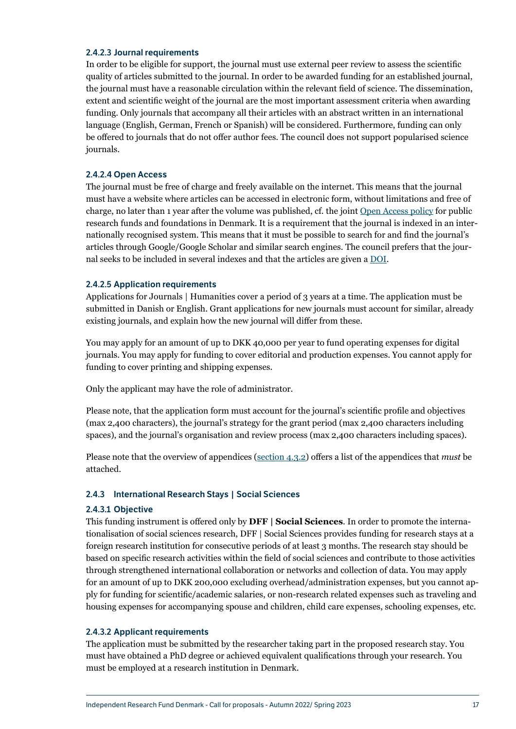#### <span id="page-17-0"></span>2.4.2.3 Journal requirements

In order to be eligible for support, the journal must use external peer review to assess the scientific quality of articles submitted to the journal. In order to be awarded funding for an established journal, the journal must have a reasonable circulation within the relevant field of science. The dissemination, extent and scientific weight of the journal are the most important assessment criteria when awarding funding. Only journals that accompany all their articles with an abstract written in an international language (English, German, French or Spanish) will be considered. Furthermore, funding can only be offered to journals that do not offer author fees. The council does not support popularised science journals.

#### 2.4.2.4 Open Access

The journal must be free of charge and freely available on the internet. This means that the journal must have a website where articles can be accessed in electronic form, without limitations and free of charge, no later than 1 year after the volume was published, cf. the joint [Open Access policy](https://dff.dk/en/about-us/goals-and-policies/open-access-policy) for public research funds and foundations in Denmark. It is a requirement that the journal is indexed in an internationally recognised system. This means that it must be possible to search for and find the journal's articles through Google/Google Scholar and similar search engines. The council prefers that the journal seeks to be included in several indexes and that the articles are given a [DOI](https://www.doi.org/).

#### 2.4.2.5 Application requirements

Applications for Journals | Humanities cover a period of 3 years at a time. The application must be submitted in Danish or English. Grant applications for new journals must account for similar, already existing journals, and explain how the new journal will differ from these.

You may apply for an amount of up to DKK 40,000 per year to fund operating expenses for digital journals. You may apply for funding to cover editorial and production expenses. You cannot apply for funding to cover printing and shipping expenses.

Only the applicant may have the role of administrator.

Please note, that the application form must account for the journal's scientific profile and objectives (max 2,400 characters), the journal's strategy for the grant period (max 2,400 characters including spaces), and the journal's organisation and review process (max 2,400 characters including spaces).

Please note that the overview of appendices ([section 4.3.2\)](#page-28-1) offers a list of the appendices that *must* be attached.

#### <span id="page-17-1"></span>2.4.3 International Research Stays | Social Sciences

#### 2.4.3.1 Objective

This funding instrument is offered only by **DFF | Social Sciences**. In order to promote the internationalisation of social sciences research, DFF | Social Sciences provides funding for research stays at a foreign research institution for consecutive periods of at least 3 months. The research stay should be based on specific research activities within the field of social sciences and contribute to those activities through strengthened international collaboration or networks and collection of data. You may apply for an amount of up to DKK 200,000 excluding overhead/administration expenses, but you cannot apply for funding for scientific/academic salaries, or non-research related expenses such as traveling and housing expenses for accompanying spouse and children, child care expenses, schooling expenses, etc.

#### 2.4.3.2 Applicant requirements

The application must be submitted by the researcher taking part in the proposed research stay. You must have obtained a PhD degree or achieved equivalent qualifications through your research. You must be employed at a research institution in Denmark.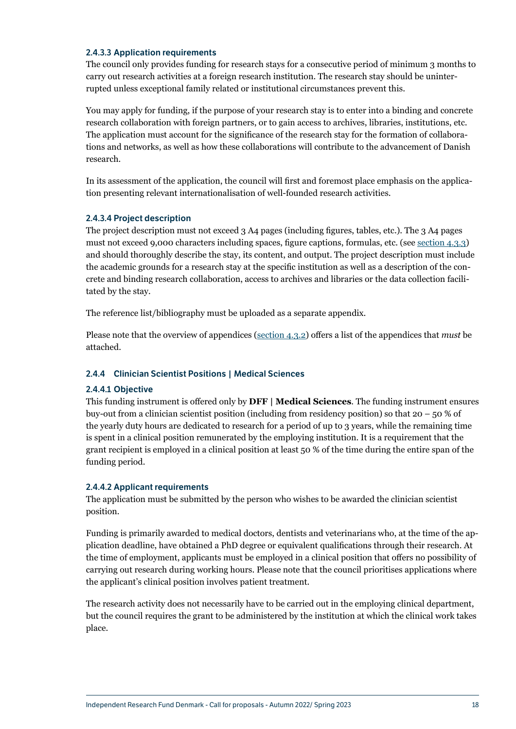#### <span id="page-18-0"></span>2.4.3.3 Application requirements

The council only provides funding for research stays for a consecutive period of minimum 3 months to carry out research activities at a foreign research institution. The research stay should be uninterrupted unless exceptional family related or institutional circumstances prevent this.

You may apply for funding, if the purpose of your research stay is to enter into a binding and concrete research collaboration with foreign partners, or to gain access to archives, libraries, institutions, etc. The application must account for the significance of the research stay for the formation of collaborations and networks, as well as how these collaborations will contribute to the advancement of Danish research.

In its assessment of the application, the council will first and foremost place emphasis on the application presenting relevant internationalisation of well-founded research activities.

#### 2.4.3.4 Project description

The project description must not exceed 3 A4 pages (including figures, tables, etc.). The 3 A4 pages must not exceed 9,000 characters including spaces, figure captions, formulas, etc. (see [section 4.3.3](#page-29-1)) and should thoroughly describe the stay, its content, and output. The project description must include the academic grounds for a research stay at the specific institution as well as a description of the concrete and binding research collaboration, access to archives and libraries or the data collection facilitated by the stay.

The reference list/bibliography must be uploaded as a separate appendix.

Please note that the overview of appendices ([section 4.3.2\)](#page-28-1) offers a list of the appendices that *must* be attached.

#### 2.4.4 Clinician Scientist Positions | Medical Sciences

#### 2.4.4.1 Objective

This funding instrument is offered only by **DFF | Medical Sciences**. The funding instrument ensures buy-out from a clinician scientist position (including from residency position) so that  $20 - 50 \%$  of the yearly duty hours are dedicated to research for a period of up to 3 years, while the remaining time is spent in a clinical position remunerated by the employing institution. It is a requirement that the grant recipient is employed in a clinical position at least 50 % of the time during the entire span of the funding period.

#### 2.4.4.2 Applicant requirements

The application must be submitted by the person who wishes to be awarded the clinician scientist position.

Funding is primarily awarded to medical doctors, dentists and veterinarians who, at the time of the application deadline, have obtained a PhD degree or equivalent qualifications through their research. At the time of employment, applicants must be employed in a clinical position that offers no possibility of carrying out research during working hours. Please note that the council prioritises applications where the applicant's clinical position involves patient treatment.

The research activity does not necessarily have to be carried out in the employing clinical department, but the council requires the grant to be administered by the institution at which the clinical work takes place.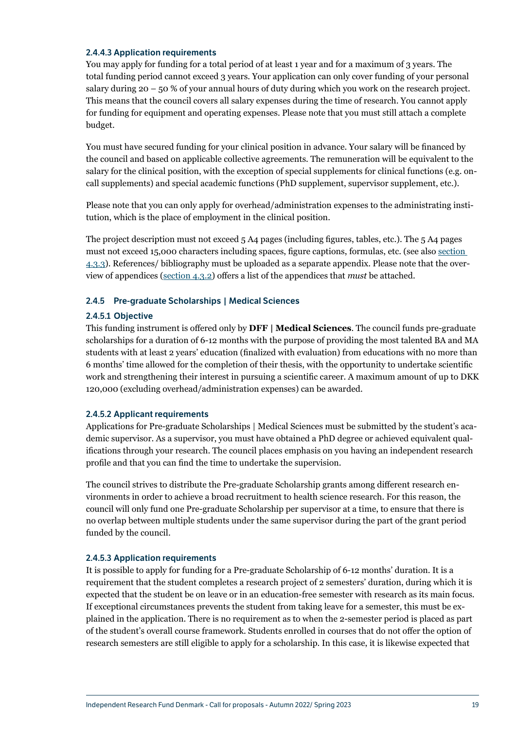#### <span id="page-19-0"></span>2.4.4.3 Application requirements

You may apply for funding for a total period of at least 1 year and for a maximum of 3 years. The total funding period cannot exceed 3 years. Your application can only cover funding of your personal salary during  $20 - 50$  % of your annual hours of duty during which you work on the research project. This means that the council covers all salary expenses during the time of research. You cannot apply for funding for equipment and operating expenses. Please note that you must still attach a complete budget.

You must have secured funding for your clinical position in advance. Your salary will be financed by the council and based on applicable collective agreements. The remuneration will be equivalent to the salary for the clinical position, with the exception of special supplements for clinical functions (e.g. oncall supplements) and special academic functions (PhD supplement, supervisor supplement, etc.).

Please note that you can only apply for overhead/administration expenses to the administrating institution, which is the place of employment in the clinical position.

The project description must not exceed 5 A4 pages (including figures, tables, etc.). The 5 A4 pages must not exceed 15,000 characters including spaces, figure captions, formulas, etc. (see also [section](#page-29-1)  [4.3.3](#page-29-1)). References/ bibliography must be uploaded as a separate appendix. Please note that the overview of appendices ([section 4.3.2](#page-28-1)) offers a list of the appendices that *must* be attached.

#### 2.4.5 Pre-graduate Scholarships | Medical Sciences

#### 2.4.5.1 Objective

This funding instrument is offered only by **DFF | Medical Sciences**. The council funds pre-graduate scholarships for a duration of 6-12 months with the purpose of providing the most talented BA and MA students with at least 2 years' education (finalized with evaluation) from educations with no more than 6 months' time allowed for the completion of their thesis, with the opportunity to undertake scientific work and strengthening their interest in pursuing a scientific career. A maximum amount of up to DKK 120,000 (excluding overhead/administration expenses) can be awarded.

#### <span id="page-19-1"></span>2.4.5.2 Applicant requirements

Applications for Pre-graduate Scholarships | Medical Sciences must be submitted by the student's academic supervisor. As a supervisor, you must have obtained a PhD degree or achieved equivalent qualifications through your research. The council places emphasis on you having an independent research profile and that you can find the time to undertake the supervision.

The council strives to distribute the Pre-graduate Scholarship grants among different research environments in order to achieve a broad recruitment to health science research. For this reason, the council will only fund one Pre-graduate Scholarship per supervisor at a time, to ensure that there is no overlap between multiple students under the same supervisor during the part of the grant period funded by the council.

#### <span id="page-19-2"></span>2.4.5.3 Application requirements

It is possible to apply for funding for a Pre-graduate Scholarship of 6-12 months' duration. It is a requirement that the student completes a research project of 2 semesters' duration, during which it is expected that the student be on leave or in an education-free semester with research as its main focus. If exceptional circumstances prevents the student from taking leave for a semester, this must be explained in the application. There is no requirement as to when the 2-semester period is placed as part of the student's overall course framework. Students enrolled in courses that do not offer the option of research semesters are still eligible to apply for a scholarship. In this case, it is likewise expected that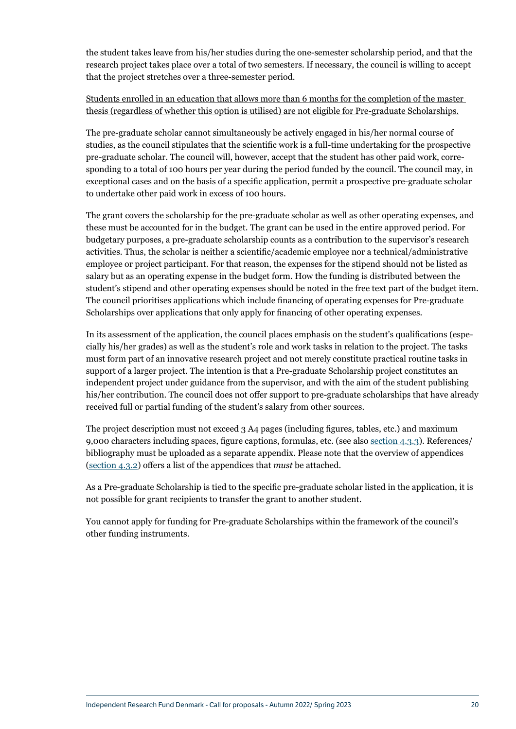the student takes leave from his/her studies during the one-semester scholarship period, and that the research project takes place over a total of two semesters. If necessary, the council is willing to accept that the project stretches over a three-semester period.

## Students enrolled in an education that allows more than 6 months for the completion of the master thesis (regardless of whether this option is utilised) are not eligible for Pre-graduate Scholarships.

The pre-graduate scholar cannot simultaneously be actively engaged in his/her normal course of studies, as the council stipulates that the scientific work is a full-time undertaking for the prospective pre-graduate scholar. The council will, however, accept that the student has other paid work, corresponding to a total of 100 hours per year during the period funded by the council. The council may, in exceptional cases and on the basis of a specific application, permit a prospective pre-graduate scholar to undertake other paid work in excess of 100 hours.

The grant covers the scholarship for the pre-graduate scholar as well as other operating expenses, and these must be accounted for in the budget. The grant can be used in the entire approved period. For budgetary purposes, a pre-graduate scholarship counts as a contribution to the supervisor's research activities. Thus, the scholar is neither a scientific/academic employee nor a technical/administrative employee or project participant. For that reason, the expenses for the stipend should not be listed as salary but as an operating expense in the budget form. How the funding is distributed between the student's stipend and other operating expenses should be noted in the free text part of the budget item. The council prioritises applications which include financing of operating expenses for Pre-graduate Scholarships over applications that only apply for financing of other operating expenses.

In its assessment of the application, the council places emphasis on the student's qualifications (especially his/her grades) as well as the student's role and work tasks in relation to the project. The tasks must form part of an innovative research project and not merely constitute practical routine tasks in support of a larger project. The intention is that a Pre-graduate Scholarship project constitutes an independent project under guidance from the supervisor, and with the aim of the student publishing his/her contribution. The council does not offer support to pre-graduate scholarships that have already received full or partial funding of the student's salary from other sources.

The project description must not exceed 3 A4 pages (including figures, tables, etc.) and maximum 9,000 characters including spaces, figure captions, formulas, etc. (see also [section 4.3.3\)](#page-29-0). References/ bibliography must be uploaded as a separate appendix. Please note that the overview of appendices ([section 4.3.2](#page-28-0)) offers a list of the appendices that *must* be attached.

As a Pre-graduate Scholarship is tied to the specific pre-graduate scholar listed in the application, it is not possible for grant recipients to transfer the grant to another student.

You cannot apply for funding for Pre-graduate Scholarships within the framework of the council's other funding instruments.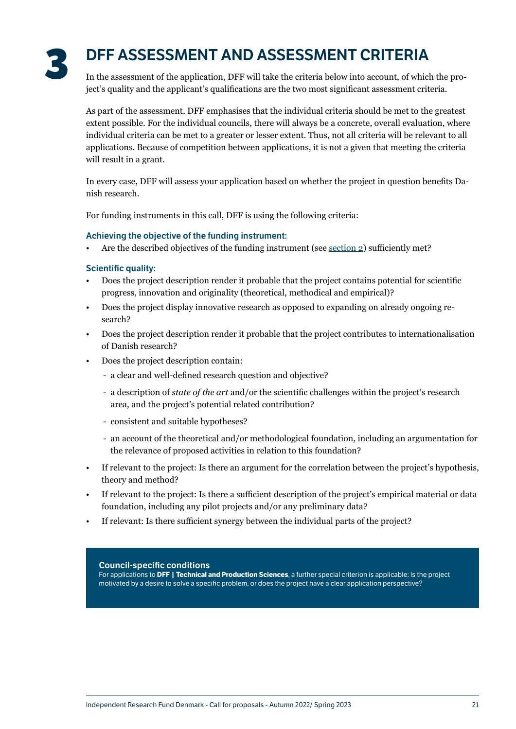<span id="page-21-0"></span>

## <span id="page-21-1"></span>**3** DFF ASSESSMENT AND ASSESSMENT CRITERIA

In the assessment of the application, DFF will take the criteria below into account, of which the project's quality and the applicant's qualifications are the two most significant assessment criteria.

As part of the assessment, DFF emphasises that the individual criteria should be met to the greatest extent possible. For the individual councils, there will always be a concrete, overall evaluation, where individual criteria can be met to a greater or lesser extent. Thus, not all criteria will be relevant to all applications. Because of competition between applications, it is not a given that meeting the criteria will result in a grant.

In every case, DFF will assess your application based on whether the project in question benefits Danish research.

For funding instruments in this call, DFF is using the following criteria:

#### Achieving the objective of the funding instrument:

• Are the described objectives of the funding instrument (see [section 2](#page-7-1)) sufficiently met?

#### Scientific quality:

- Does the project description render it probable that the project contains potential for scientific progress, innovation and originality (theoretical, methodical and empirical)?
- Does the project display innovative research as opposed to expanding on already ongoing research?
- Does the project description render it probable that the project contributes to internationalisation of Danish research?
- Does the project description contain:
	- a clear and well-defined research question and objective?
	- a description of *state of the art* and/or the scientific challenges within the project's research area, and the project's potential related contribution?
	- consistent and suitable hypotheses?
	- an account of the theoretical and/or methodological foundation, including an argumentation for the relevance of proposed activities in relation to this foundation?
- If relevant to the project: Is there an argument for the correlation between the project's hypothesis, theory and method?
- If relevant to the project: Is there a sufficient description of the project's empirical material or data foundation, including any pilot projects and/or any preliminary data?
- If relevant: Is there sufficient synergy between the individual parts of the project?

#### Council-specific conditions

For applications to **DFF | Technical and Production Sciences**, a further special criterion is applicable: Is the project motivated by a desire to solve a specific problem, or does the project have a clear application perspective?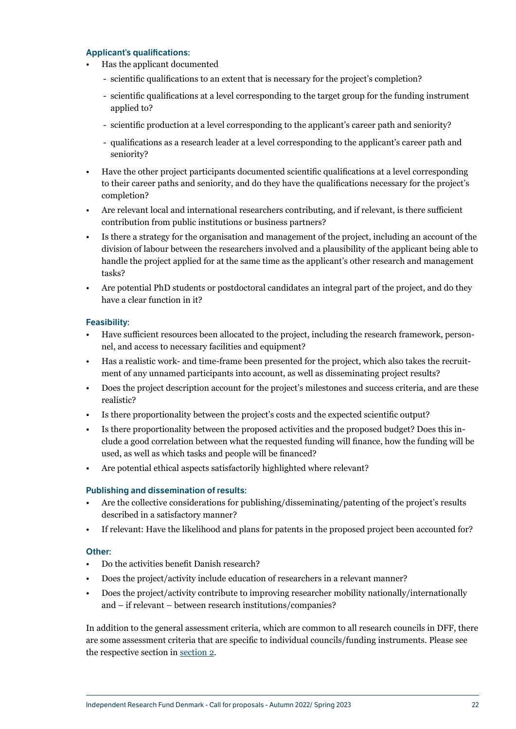#### Applicant's qualifications:

- Has the applicant documented
	- scientific qualifications to an extent that is necessary for the project's completion?
	- scientific qualifications at a level corresponding to the target group for the funding instrument applied to?
	- scientific production at a level corresponding to the applicant's career path and seniority?
	- qualifications as a research leader at a level corresponding to the applicant's career path and seniority?
- Have the other project participants documented scientific qualifications at a level corresponding to their career paths and seniority, and do they have the qualifications necessary for the project's completion?
- Are relevant local and international researchers contributing, and if relevant, is there sufficient contribution from public institutions or business partners?
- Is there a strategy for the organisation and management of the project, including an account of the division of labour between the researchers involved and a plausibility of the applicant being able to handle the project applied for at the same time as the applicant's other research and management tasks?
- Are potential PhD students or postdoctoral candidates an integral part of the project, and do they have a clear function in it?

#### Feasibility:

- Have sufficient resources been allocated to the project, including the research framework, personnel, and access to necessary facilities and equipment?
- Has a realistic work- and time-frame been presented for the project, which also takes the recruitment of any unnamed participants into account, as well as disseminating project results?
- Does the project description account for the project's milestones and success criteria, and are these realistic?
- Is there proportionality between the project's costs and the expected scientific output?
- Is there proportionality between the proposed activities and the proposed budget? Does this include a good correlation between what the requested funding will finance, how the funding will be used, as well as which tasks and people will be financed?
- Are potential ethical aspects satisfactorily highlighted where relevant?

#### Publishing and dissemination of results:

- Are the collective considerations for publishing/disseminating/patenting of the project's results described in a satisfactory manner?
- If relevant: Have the likelihood and plans for patents in the proposed project been accounted for?

#### Other:

- Do the activities benefit Danish research?
- Does the project/activity include education of researchers in a relevant manner?
- Does the project/activity contribute to improving researcher mobility nationally/internationally and – if relevant – between research institutions/companies?

In addition to the general assessment criteria, which are common to all research councils in DFF, there are some assessment criteria that are specific to individual councils/funding instruments. Please see the respective section in [section 2](#page-7-1).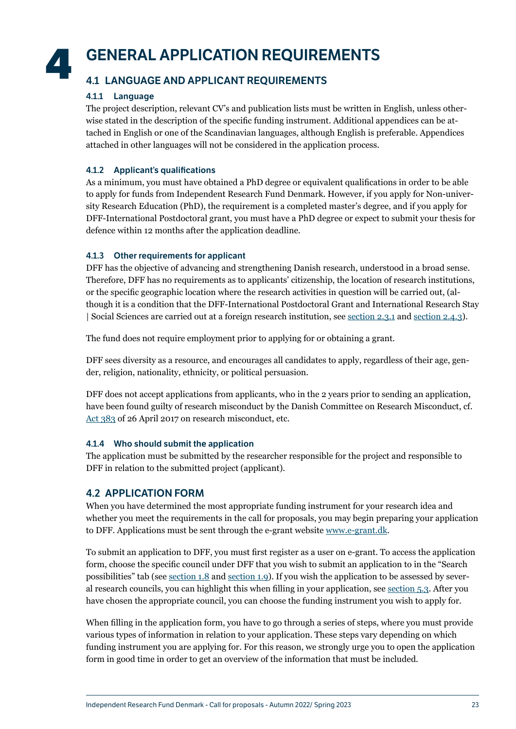## <span id="page-23-0"></span>**4** GENERAL APPLICATION REQUIREMENTS

## 4.1 LANGUAGE AND APPLICANT REQUIREMENTS

## <span id="page-23-2"></span>4.1.1 Language

The project description, relevant CV's and publication lists must be written in English, unless otherwise stated in the description of the specific funding instrument. Additional appendices can be attached in English or one of the Scandinavian languages, although English is preferable. Appendices attached in other languages will not be considered in the application process.

## 4.1.2 Applicant's qualifications

As a minimum, you must have obtained a PhD degree or equivalent qualifications in order to be able to apply for funds from Independent Research Fund Denmark. However, if you apply for Non-university Research Education (PhD), the requirement is a completed master's degree, and if you apply for DFF-International Postdoctoral grant, you must have a PhD degree or expect to submit your thesis for defence within 12 months after the application deadline.

## 4.1.3 Other requirements for applicant

DFF has the objective of advancing and strengthening Danish research, understood in a broad sense. Therefore, DFF has no requirements as to applicants' citizenship, the location of research institutions, or the specific geographic location where the research activities in question will be carried out, (although it is a condition that the DFF-International Postdoctoral Grant and International Research Stay | Social Sciences are carried out at a foreign research institution, see <u>section 2.3.1</u> and [section 2.4.3](#page-17-1)).

The fund does not require employment prior to applying for or obtaining a grant.

DFF sees diversity as a resource, and encourages all candidates to apply, regardless of their age, gender, religion, nationality, ethnicity, or political persuasion.

DFF does not accept applications from applicants, who in the 2 years prior to sending an application, have been found guilty of research misconduct by the Danish Committee on Research Misconduct, cf. [Act 383](https://www.retsinformation.dk/eli/lta/2017/383) of 26 April 2017 on research misconduct, etc.

## 4.1.4 Who should submit the application

The application must be submitted by the researcher responsible for the project and responsible to DFF in relation to the submitted project (applicant).

## <span id="page-23-1"></span>4.2 APPLICATION FORM

When you have determined the most appropriate funding instrument for your research idea and whether you meet the requirements in the call for proposals, you may begin preparing your application to DFF. Applications must be sent through the e-grant website [www.e-grant.dk.](https://login.e-grant.dk/?wa=wsignin1.0&wtrealm=urn%3aTilskudsPortal&wctx=https%3a%2f%2fwww.e-grant.dk%2f_layouts%2f15%2fAuthenticate.aspx%3fSource%3dhttps%3a%2f%2fwww.e-grant.dk%2f)

To submit an application to DFF, you must first register as a user on e-grant. To access the application form, choose the specific council under DFF that you wish to submit an application to in the "Search possibilities" tab (see [section 1.8](#page-5-1) and [section](#page-5-2) 1.9). If you wish the application to be assessed by several research councils, you can highlight this when filling in your application, see [section 5.3.](#page-39-1) After you have chosen the appropriate council, you can choose the funding instrument you wish to apply for.

When filling in the application form, you have to go through a series of steps, where you must provide various types of information in relation to your application. These steps vary depending on which funding instrument you are applying for. For this reason, we strongly urge you to open the application form in good time in order to get an overview of the information that must be included.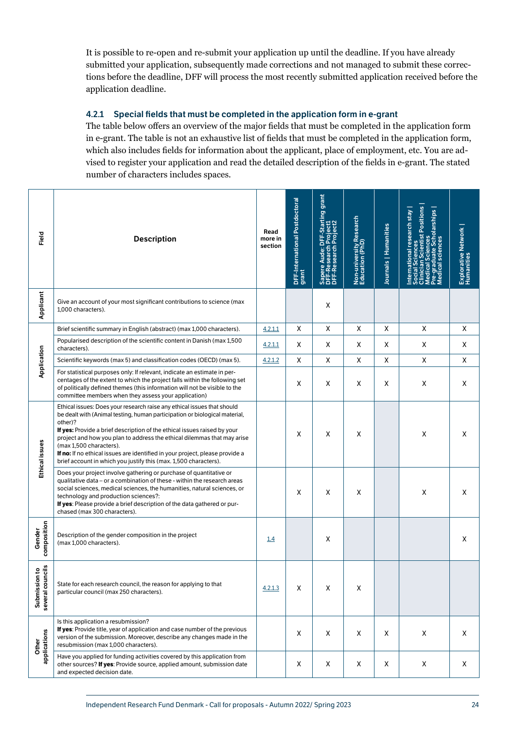<span id="page-24-0"></span>It is possible to re-open and re-submit your application up until the deadline. If you have already submitted your application, subsequently made corrections and not managed to submit these corrections before the deadline, DFF will process the most recently submitted application received before the application deadline.

### 4.2.1 Special fields that must be completed in the application form in e-grant

The table below offers an overview of the major fields that must be completed in the application form in e-grant. The table is not an exhaustive list of fields that must be completed in the application form, which also includes fields for information about the applicant, place of employment, etc. You are advised to register your application and read the detailed description of the fields in e-grant. The stated number of characters includes spaces.

| Field                                   | <b>Description</b>                                                                                                                                                                                                                                                                                                                                                                                                                                                                                     | Read<br>more in<br>section | DFF-International Postdoctoral<br>grant | grant<br>Aude: DFF-Starting<br>Sapere Aude: DFF-Start<br>DFF-Research Project1<br>DFF-Research Project2 | Non-university Research<br>Education (PhD) | Journals   Humanities | <b>cientist Positions</b><br>national research stay<br><b>Scholarships</b><br>ces<br>٤ē<br>ഉ<br>"히 | Explorative Network<br>Humanities |
|-----------------------------------------|--------------------------------------------------------------------------------------------------------------------------------------------------------------------------------------------------------------------------------------------------------------------------------------------------------------------------------------------------------------------------------------------------------------------------------------------------------------------------------------------------------|----------------------------|-----------------------------------------|---------------------------------------------------------------------------------------------------------|--------------------------------------------|-----------------------|----------------------------------------------------------------------------------------------------|-----------------------------------|
| Applicant                               | Give an account of your most significant contributions to science (max<br>1,000 characters).                                                                                                                                                                                                                                                                                                                                                                                                           |                            |                                         | X                                                                                                       |                                            |                       |                                                                                                    |                                   |
|                                         | Brief scientific summary in English (abstract) (max 1,000 characters).                                                                                                                                                                                                                                                                                                                                                                                                                                 | 4.2.1.1                    | Χ                                       | Χ                                                                                                       | Χ                                          | X                     | Χ                                                                                                  | Χ                                 |
|                                         | Popularised description of the scientific content in Danish (max 1,500<br>characters).                                                                                                                                                                                                                                                                                                                                                                                                                 | 4.2.1.1                    | Χ                                       | Х                                                                                                       | Χ                                          | Χ                     | Х                                                                                                  | Χ                                 |
|                                         | Scientific keywords (max 5) and classification codes (OECD) (max 5).                                                                                                                                                                                                                                                                                                                                                                                                                                   | 4.2.1.2                    | X                                       | Χ                                                                                                       | X                                          | X                     | X                                                                                                  | X                                 |
| Application                             | For statistical purposes only: If relevant, indicate an estimate in per-<br>centages of the extent to which the project falls within the following set<br>of politically defined themes (this information will not be visible to the<br>committee members when they assess your application)                                                                                                                                                                                                           |                            | X                                       | X                                                                                                       | X                                          | X                     | Х                                                                                                  | Χ                                 |
| Ethical issues                          | Ethical issues: Does your research raise any ethical issues that should<br>be dealt with (Animal testing, human participation or biological material,<br>other)?<br>If yes: Provide a brief description of the ethical issues raised by your<br>project and how you plan to address the ethical dilemmas that may arise<br>(max 1,500 characters).<br>If no: If no ethical issues are identified in your project, please provide a<br>brief account in which you justify this (max. 1,500 characters). |                            | X                                       | X                                                                                                       | X                                          |                       | Х                                                                                                  | X                                 |
|                                         | Does your project involve gathering or purchase of quantitative or<br>qualitative data – or a combination of these - within the research areas<br>social sciences, medical sciences, the humanities, natural sciences, or<br>technology and production sciences?:<br>If yes: Please provide a brief description of the data gathered or pur-<br>chased (max 300 characters).                                                                                                                           |                            | X                                       | X                                                                                                       | х                                          |                       | X                                                                                                  | X                                 |
| composition<br>Gender                   | Description of the gender composition in the project<br>(max 1,000 characters).                                                                                                                                                                                                                                                                                                                                                                                                                        | 1.4                        |                                         | X                                                                                                       |                                            |                       |                                                                                                    | X                                 |
| ćÍS<br>₽<br>Submission<br>several counc | State for each research council, the reason for applying to that<br>particular council (max 250 characters).                                                                                                                                                                                                                                                                                                                                                                                           | 4.2.1.3                    | X                                       | X                                                                                                       | X                                          |                       |                                                                                                    |                                   |
| applications<br>Other                   | Is this application a resubmission?<br>If yes: Provide title, year of application and case number of the previous<br>version of the submission. Moreover, describe any changes made in the<br>resubmission (max 1,000 characters).                                                                                                                                                                                                                                                                     |                            | Χ                                       | X                                                                                                       | Χ                                          | X                     | X                                                                                                  | X                                 |
|                                         | Have you applied for funding activities covered by this application from<br>other sources? If yes: Provide source, applied amount, submission date<br>and expected decision date.                                                                                                                                                                                                                                                                                                                      |                            | Χ                                       | X                                                                                                       | Χ                                          | X                     | X                                                                                                  | X                                 |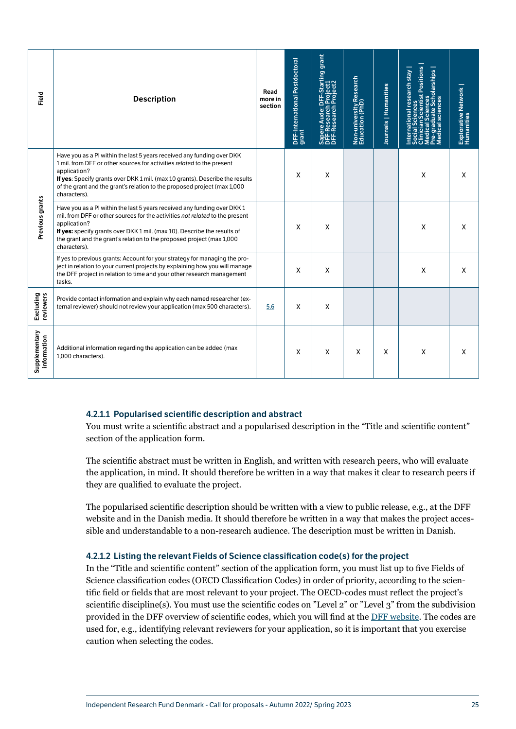| Field                        | <b>Description</b>                                                                                                                                                                                                                                                                                                                            | Read<br>more in<br>section | DFF-International Postdoctoral<br>grant | Sapere Aude: DFF-Starting grant<br>DFF-Research Project1<br>DFF-Research Project2 | Non-university Research<br>Education (PhD) | Journals   Humanities | cientist Positions<br>nternational research stay<br>iences<br>ite Scholarships  <br>iences<br>នី<br><u>ia</u><br><u>ical</u> | Explorative Network<br>Humanities |
|------------------------------|-----------------------------------------------------------------------------------------------------------------------------------------------------------------------------------------------------------------------------------------------------------------------------------------------------------------------------------------------|----------------------------|-----------------------------------------|-----------------------------------------------------------------------------------|--------------------------------------------|-----------------------|------------------------------------------------------------------------------------------------------------------------------|-----------------------------------|
| Previous grants              | Have you as a PI within the last 5 years received any funding over DKK<br>1 mil. from DFF or other sources for activities related to the present<br>application?<br>If yes: Specify grants over DKK 1 mil. (max 10 grants). Describe the results<br>of the grant and the grant's relation to the proposed project (max 1,000<br>characters).  |                            | X                                       | X                                                                                 |                                            |                       | X                                                                                                                            | X                                 |
|                              | Have you as a PI within the last 5 years received any funding over DKK 1<br>mil. from DFF or other sources for the activities not related to the present<br>application?<br>If yes: specify grants over DKK 1 mil. (max 10). Describe the results of<br>the grant and the grant's relation to the proposed project (max 1,000<br>characters). |                            | Χ                                       | X                                                                                 |                                            |                       | X                                                                                                                            | X                                 |
|                              | If yes to previous grants: Account for your strategy for managing the pro-<br>ject in relation to your current projects by explaining how you will manage<br>the DFF project in relation to time and your other research management<br>tasks.                                                                                                 |                            | x                                       | X                                                                                 |                                            |                       | X                                                                                                                            | X                                 |
| Excluding<br>reviewers       | Provide contact information and explain why each named researcher (ex-<br>ternal reviewer) should not review your application (max 500 characters).                                                                                                                                                                                           | 5.6                        | X                                       | X                                                                                 |                                            |                       |                                                                                                                              |                                   |
| Supplementary<br>information | Additional information regarding the application can be added (max<br>1,000 characters).                                                                                                                                                                                                                                                      |                            | x                                       | X                                                                                 | X                                          | X                     | X                                                                                                                            | X                                 |

## <span id="page-25-0"></span>4.2.1.1 Popularised scientific description and abstract

You must write a scientific abstract and a popularised description in the "Title and scientific content" section of the application form.

The scientific abstract must be written in English, and written with research peers, who will evaluate the application, in mind. It should therefore be written in a way that makes it clear to research peers if they are qualified to evaluate the project.

The popularised scientific description should be written with a view to public release, e.g., at the DFF website and in the Danish media. It should therefore be written in a way that makes the project accessible and understandable to a non-research audience. The description must be written in Danish.

## <span id="page-25-1"></span>4.2.1.2 Listing the relevant Fields of Science classification code(s) for the project

In the "Title and scientific content" section of the application form, you must list up to five Fields of Science classification codes (OECD Classification Codes) in order of priority, according to the scientific field or fields that are most relevant to your project. The OECD-codes must reflect the project's scientific discipline(s). You must use the scientific codes on "Level 2" or "Level 3" from the subdivision provided in the DFF overview of scientific codes, which you will find at the [DFF website.](https://dff.dk/en/application/forms-for-application) The codes are used for, e.g., identifying relevant reviewers for your application, so it is important that you exercise caution when selecting the codes.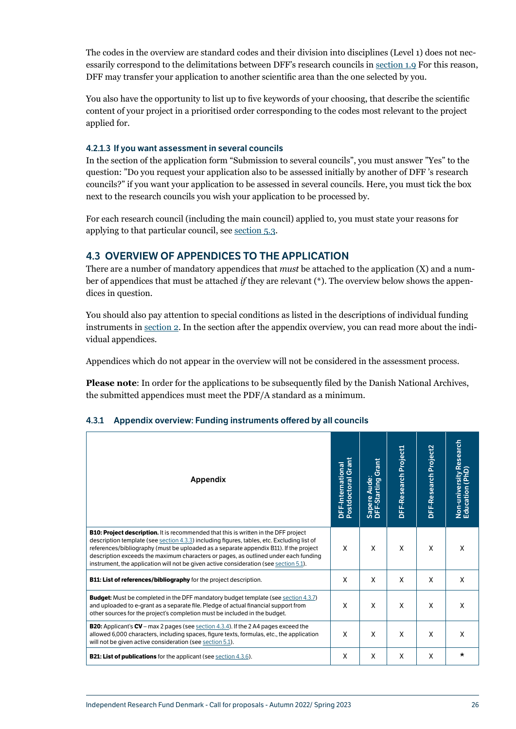<span id="page-26-0"></span>The codes in the overview are standard codes and their division into disciplines (Level 1) does not necessarily correspond to the delimitations between DFF's research councils in [section 1.9](#page-5-2) For this reason, DFF may transfer your application to another scientific area than the one selected by you.

You also have the opportunity to list up to five keywords of your choosing, that describe the scientific content of your project in a prioritised order corresponding to the codes most relevant to the project applied for.

#### <span id="page-26-2"></span>4.2.1.3 If you want assessment in several councils

In the section of the application form "Submission to several councils", you must answer "Yes" to the question: "Do you request your application also to be assessed initially by another of DFF 's research councils?" if you want your application to be assessed in several councils. Here, you must tick the box next to the research councils you wish your application to be processed by.

For each research council (including the main council) applied to, you must state your reasons for applying to that particular council, see [section 5.3.](#page-39-1)

## 4.3 OVERVIEW OF APPENDICES TO THE APPLICATION

There are a number of mandatory appendices that *must* be attached to the application (X) and a number of appendices that must be attached *if* they are relevant (\*). The overview below shows the appendices in question.

You should also pay attention to special conditions as listed in the descriptions of individual funding instruments in [section 2](#page-7-1). In the section after the appendix overview, you can read more about the individual appendices.

Appendices which do not appear in the overview will not be considered in the assessment process.

**Please note**: In order for the applications to be subsequently filed by the Danish National Archives, the submitted appendices must meet the PDF/A standard as a minimum.

| Appendix                                                                                                                                                                                                                                                                                                                                                                                                                                                          | DFF-International<br>Postdoctoral Grant | Grant<br>Aude:<br>Sapere Aude:<br>DFF-Starting | DFF-Research Project1 | DFF-Research Project2 | Non-university Research<br>Education (PhD) |
|-------------------------------------------------------------------------------------------------------------------------------------------------------------------------------------------------------------------------------------------------------------------------------------------------------------------------------------------------------------------------------------------------------------------------------------------------------------------|-----------------------------------------|------------------------------------------------|-----------------------|-----------------------|--------------------------------------------|
| <b>B10: Project description.</b> It is recommended that this is written in the DFF project<br>description template (see section 4.3.3) including figures, tables, etc. Excluding list of<br>references/bibliography (must be uploaded as a separate appendix B11). If the project<br>description exceeds the maximum characters or pages, as outlined under each funding<br>instrument, the application will not be given active consideration (see section 5.1). | X                                       | X                                              | X                     | X                     | X                                          |
| <b>B11: List of references/bibliography</b> for the project description.                                                                                                                                                                                                                                                                                                                                                                                          | X                                       | X                                              | X                     | X                     | X                                          |
| <b>Budget:</b> Must be completed in the DFF mandatory budget template (see section 4.3.7)<br>and uploaded to e-grant as a separate file. Pledge of actual financial support from<br>other sources for the project's completion must be included in the budget.                                                                                                                                                                                                    | X                                       | X                                              | X                     | X                     | X                                          |
| <b>B20:</b> Applicant's $CV$ – max 2 pages (see section 4.3.4). If the 2 A4 pages exceed the<br>allowed 6,000 characters, including spaces, figure texts, formulas, etc., the application<br>will not be given active consideration (see section 5.1).                                                                                                                                                                                                            | X                                       | X                                              | X                     | X                     | X                                          |
| <b>B21: List of publications</b> for the applicant (see section 4.3.6).                                                                                                                                                                                                                                                                                                                                                                                           | X                                       | X                                              | X                     | X                     | $\star$                                    |

#### <span id="page-26-1"></span>4.3.1 Appendix overview: Funding instruments offered by all councils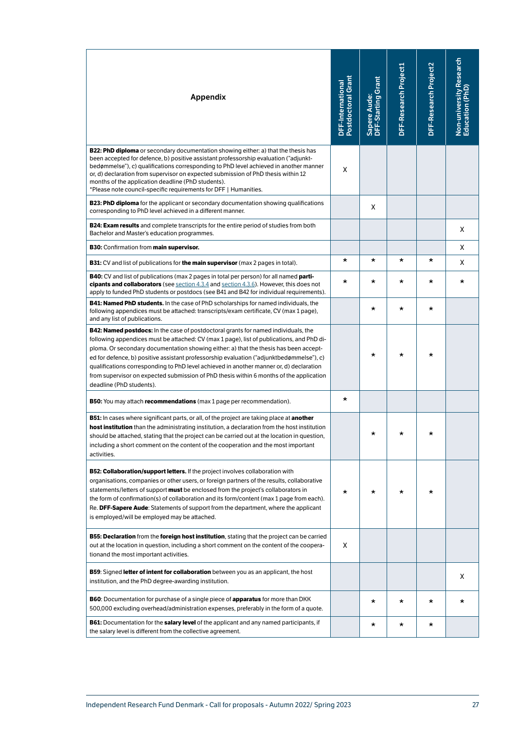| <b>Appendix</b>                                                                                                                                                                                                                                                                                                                                                                                                                                                                                                                                                                               | DFF-International<br>Postdoctoral Grant | Sapere Aude:<br>DFF-Starting Grant | DFF-Research Project1 | DFF-Research Project2 | Non-university Research<br>Education (PhD) |
|-----------------------------------------------------------------------------------------------------------------------------------------------------------------------------------------------------------------------------------------------------------------------------------------------------------------------------------------------------------------------------------------------------------------------------------------------------------------------------------------------------------------------------------------------------------------------------------------------|-----------------------------------------|------------------------------------|-----------------------|-----------------------|--------------------------------------------|
| <b>B22: PhD diploma</b> or secondary documentation showing either: a) that the thesis has<br>been accepted for defence, b) positive assistant professorship evaluation ("adjunkt-<br>bedømmelse"), c) qualifications corresponding to PhD level achieved in another manner<br>or, d) declaration from supervisor on expected submission of PhD thesis within 12<br>months of the application deadline (PhD students).<br>*Please note council-specific requirements for DFF   Humanities.                                                                                                     | X                                       |                                    |                       |                       |                                            |
| <b>B23: PhD diploma</b> for the applicant or secondary documentation showing qualifications<br>corresponding to PhD level achieved in a different manner.                                                                                                                                                                                                                                                                                                                                                                                                                                     |                                         | X                                  |                       |                       |                                            |
| <b>B24: Exam results</b> and complete transcripts for the entire period of studies from both<br>Bachelor and Master's education programmes.                                                                                                                                                                                                                                                                                                                                                                                                                                                   |                                         |                                    |                       |                       | X                                          |
| <b>B30:</b> Confirmation from main supervisor.                                                                                                                                                                                                                                                                                                                                                                                                                                                                                                                                                |                                         |                                    |                       |                       | X                                          |
| <b>B31:</b> CV and list of publications for the main supervisor (max 2 pages in total).                                                                                                                                                                                                                                                                                                                                                                                                                                                                                                       | *                                       | *                                  | *                     | *                     | X                                          |
| <b>B40:</b> CV and list of publications (max 2 pages in total per person) for all named <b>parti-</b><br>cipants and collaborators (see section 4.3.4 and section 4.3.6). However, this does not<br>apply to funded PhD students or postdocs (see B41 and B42 for individual requirements).                                                                                                                                                                                                                                                                                                   | *                                       | *                                  | *                     | $\star$               | *                                          |
| <b>B41: Named PhD students.</b> In the case of PhD scholarships for named individuals, the<br>following appendices must be attached: transcripts/exam certificate, CV (max 1 page),<br>and any list of publications.                                                                                                                                                                                                                                                                                                                                                                          |                                         | *                                  | *                     | *                     |                                            |
| <b>B42: Named postdocs:</b> In the case of postdoctoral grants for named individuals, the<br>following appendices must be attached: CV (max 1 page), list of publications, and PhD di-<br>ploma. Or secondary documentation showing either: a) that the thesis has been accept-<br>ed for defence, b) positive assistant professorship evaluation ("adjunktbedømmelse"), c)<br>qualifications corresponding to PhD level achieved in another manner or, d) declaration<br>from supervisor on expected submission of PhD thesis within 6 months of the application<br>deadline (PhD students). |                                         | *                                  | *                     | *                     |                                            |
| <b>B50:</b> You may attach <b>recommendations</b> (max 1 page per recommendation).                                                                                                                                                                                                                                                                                                                                                                                                                                                                                                            | *                                       |                                    |                       |                       |                                            |
| <b>B51:</b> In cases where significant parts, or all, of the project are taking place at <b>another</b><br>host institution than the administrating institution, a declaration from the host institution<br>should be attached, stating that the project can be carried out at the location in question,<br>including a short comment on the content of the cooperation and the most important<br>activities.                                                                                                                                                                                 |                                         | *                                  |                       |                       |                                            |
| <b>B52: Collaboration/support letters.</b> If the project involves collaboration with<br>organisations, companies or other users, or foreign partners of the results, collaborative<br>statements/letters of support <b>must</b> be enclosed from the project's collaborators in<br>the form of confirmation(s) of collaboration and its form/content (max 1 page from each).<br>Re. DFF-Sapere Aude: Statements of support from the department, where the applicant<br>is employed/will be employed may be attached.                                                                         | *                                       | *                                  | *                     | *                     |                                            |
| <b>B55: Declaration</b> from the <b>foreign host institution</b> , stating that the project can be carried<br>out at the location in question, including a short comment on the content of the coopera-<br>tionand the most important activities.                                                                                                                                                                                                                                                                                                                                             | X                                       |                                    |                       |                       |                                            |
| <b>B59:</b> Signed letter of intent for collaboration between you as an applicant, the host<br>institution, and the PhD degree-awarding institution.                                                                                                                                                                                                                                                                                                                                                                                                                                          |                                         |                                    |                       |                       | X                                          |
| <b>B60:</b> Documentation for purchase of a single piece of <b>apparatus</b> for more than DKK<br>500,000 excluding overhead/administration expenses, preferably in the form of a quote.                                                                                                                                                                                                                                                                                                                                                                                                      |                                         | *                                  | *                     | *                     | *                                          |
| <b>B61:</b> Documentation for the <b>salary level</b> of the applicant and any named participants, if<br>the salary level is different from the collective agreement.                                                                                                                                                                                                                                                                                                                                                                                                                         |                                         | *                                  | *                     | *                     |                                            |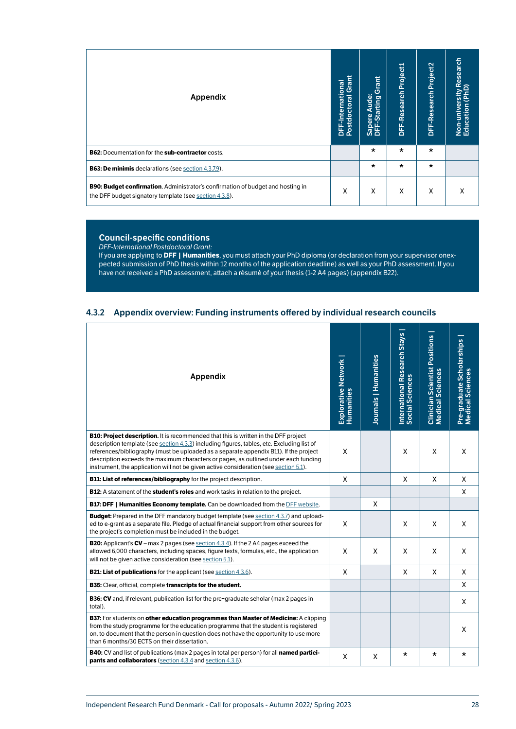<span id="page-28-0"></span>

| Appendix                                                                                                                                  | Grant<br>DFF-International<br>Postdoctoral Grar | Grant<br>Aude:<br>Sapere Aude:<br>DFF-Starting | DFF-Research Project1 | DFF-Research Project2 | Non-university Research<br>Education (PhD) |
|-------------------------------------------------------------------------------------------------------------------------------------------|-------------------------------------------------|------------------------------------------------|-----------------------|-----------------------|--------------------------------------------|
| <b>B62:</b> Documentation for the sub-contractor costs.                                                                                   |                                                 | $\star$                                        | $\star$               | $\star$               |                                            |
| <b>B63: De minimis declarations (see section 4.3.7.9).</b>                                                                                |                                                 | $\star$                                        | $\star$               | $\star$               |                                            |
| B90: Budget confirmation. Administrator's confirmation of budget and hosting in<br>the DFF budget signatory template (see section 4.3.8). | Χ                                               | X                                              | X                     | X                     | χ                                          |

#### Council-specific conditions

*DFF-International Postdoctoral Grant:*

If you are applying to **DFF | Humanities**, you must attach your PhD diploma (or declaration from your supervisor onexpected submission of PhD thesis within 12 months of the application deadline) as well as your PhD assessment. If you have not received a PhD assessment, attach a résumé of your thesis (1-2 A4 pages) (appendix B22).

#### <span id="page-28-1"></span>4.3.2 Appendix overview: Funding instruments offered by individual research councils

| Appendix                                                                                                                                                                                                                                                                                                                                                                                                                                                          | Explorative Network<br>Humanities | Journals   Humanities | International Research Stays<br>Social Sciences | <b>Clinician Scientist Positions<br/>Medical Sciences</b> | Pre-graduate Scholarships<br>Medical Sciences |
|-------------------------------------------------------------------------------------------------------------------------------------------------------------------------------------------------------------------------------------------------------------------------------------------------------------------------------------------------------------------------------------------------------------------------------------------------------------------|-----------------------------------|-----------------------|-------------------------------------------------|-----------------------------------------------------------|-----------------------------------------------|
| <b>B10: Project description.</b> It is recommended that this is written in the DFF project<br>description template (see section 4.3.3) including figures, tables, etc. Excluding list of<br>references/bibliography (must be uploaded as a separate appendix B11). If the project<br>description exceeds the maximum characters or pages, as outlined under each funding<br>instrument, the application will not be given active consideration (see section 5.1). | X                                 |                       | X                                               | X                                                         | X                                             |
| B11: List of references/bibliography for the project description.                                                                                                                                                                                                                                                                                                                                                                                                 | X                                 |                       | X                                               | X                                                         | Χ                                             |
| B12: A statement of the student's roles and work tasks in relation to the project.                                                                                                                                                                                                                                                                                                                                                                                |                                   |                       |                                                 |                                                           | X                                             |
| <b>B17: DFF   Humanities Economy template.</b> Can be downloaded from the DFF website.                                                                                                                                                                                                                                                                                                                                                                            |                                   | X                     |                                                 |                                                           |                                               |
| <b>Budget:</b> Prepared in the DFF mandatory budget template (see section 4.3.7) and upload-<br>ed to e-grant as a separate file. Pledge of actual financial support from other sources for<br>the project's completion must be included in the budget.                                                                                                                                                                                                           | X                                 |                       | X                                               | X                                                         | X                                             |
| <b>B20:</b> Applicant's $CV$ – max 2 pages (see section 4.3.4). If the 2 A4 pages exceed the<br>allowed 6,000 characters, including spaces, figure texts, formulas, etc., the application<br>will not be given active consideration (see section 5.1).                                                                                                                                                                                                            | X                                 | X                     | X                                               | X                                                         | X                                             |
| <b>B21: List of publications</b> for the applicant (see section 4.3.6).                                                                                                                                                                                                                                                                                                                                                                                           | X                                 |                       | X                                               | X                                                         | X                                             |
| B35: Clear, official, complete transcripts for the student.                                                                                                                                                                                                                                                                                                                                                                                                       |                                   |                       |                                                 |                                                           | X                                             |
| <b>B36: CV</b> and, if relevant, publication list for the pre-graduate scholar (max 2 pages in<br>total).                                                                                                                                                                                                                                                                                                                                                         |                                   |                       |                                                 |                                                           | X                                             |
| B37: For students on other education programmes than Master of Medicine: A clipping<br>from the study programme for the education programme that the student is registered<br>on, to document that the person in question does not have the opportunity to use more<br>than 6 months/30 ECTS on their dissertation.                                                                                                                                               |                                   |                       |                                                 |                                                           | X                                             |
| <b>B40:</b> CV and list of publications (max 2 pages in total per person) for all <b>named partici-</b><br><b>pants and collaborators</b> (section 4.3.4 and section 4.3.6).                                                                                                                                                                                                                                                                                      | X                                 | X                     | $\star$                                         | *                                                         | *                                             |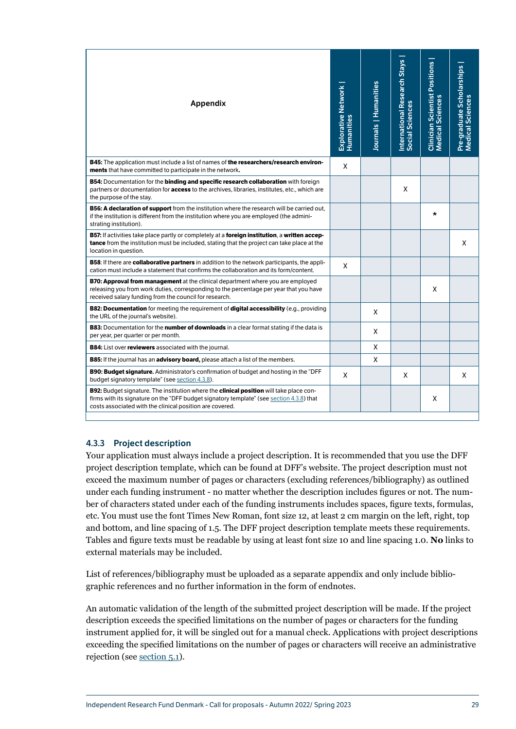<span id="page-29-0"></span>

| Appendix                                                                                                                                                                                                                                                      | Explorative Network  <br>Humanities | Journals   Humanities | International Research Stays<br>Social Sciences | <b>Clinician Scientist Positions<br/>Medical Sciences</b> | Pre-graduate Scholarships<br>Medical Sciences |
|---------------------------------------------------------------------------------------------------------------------------------------------------------------------------------------------------------------------------------------------------------------|-------------------------------------|-----------------------|-------------------------------------------------|-----------------------------------------------------------|-----------------------------------------------|
| <b>B45:</b> The application must include a list of names of the researchers/research environ-<br>ments that have committed to participate in the network.                                                                                                     | X                                   |                       |                                                 |                                                           |                                               |
| <b>B54:</b> Documentation for the <b>binding and specific research collaboration</b> with foreign<br>partners or documentation for access to the archives, libraries, institutes, etc., which are<br>the purpose of the stay.                                 |                                     |                       | X                                               |                                                           |                                               |
| B56: A declaration of support from the institution where the research will be carried out,<br>if the institution is different from the institution where you are employed (the admini-<br>strating institution).                                              |                                     |                       |                                                 | $\star$                                                   |                                               |
| B57: If activities take place partly or completely at a foreign institution, a written accep-<br>tance from the institution must be included, stating that the project can take place at the<br>location in question.                                         |                                     |                       |                                                 |                                                           | X                                             |
| <b>B58:</b> If there are collaborative partners in addition to the network participants, the appli-<br>cation must include a statement that confirms the collaboration and its form/content.                                                                  | X                                   |                       |                                                 |                                                           |                                               |
| <b>B70: Approval from management</b> at the clinical department where you are employed<br>releasing you from work duties, corresponding to the percentage per year that you have<br>received salary funding from the council for research.                    |                                     |                       |                                                 | X                                                         |                                               |
| <b>B82: Documentation</b> for meeting the requirement of digital accessibility (e.g., providing<br>the URL of the journal's website).                                                                                                                         |                                     | X                     |                                                 |                                                           |                                               |
| <b>B83:</b> Documentation for the <b>number of downloads</b> in a clear format stating if the data is<br>per year, per quarter or per month.                                                                                                                  |                                     | X                     |                                                 |                                                           |                                               |
| <b>B84:</b> List over reviewers associated with the journal.                                                                                                                                                                                                  |                                     | X                     |                                                 |                                                           |                                               |
| <b>B85:</b> If the journal has an advisory board, please attach a list of the members.                                                                                                                                                                        |                                     | X                     |                                                 |                                                           |                                               |
| <b>B90: Budget signature.</b> Administrator's confirmation of budget and hosting in the "DFF<br>budget signatory template" (see section 4.3.8).                                                                                                               | X                                   |                       | X                                               |                                                           | X                                             |
| <b>B92:</b> Budget signature. The institution where the <b>clinical position</b> will take place con-<br>firms with its signature on the "DFF budget signatory template" (see section 4.3.8) that<br>costs associated with the clinical position are covered. |                                     |                       |                                                 | X                                                         |                                               |

## <span id="page-29-1"></span>4.3.3 Project description

Your application must always include a project description. It is recommended that you use the DFF project description template, which can be found at DFF's website. The project description must not exceed the maximum number of pages or characters (excluding references/bibliography) as outlined under each funding instrument - no matter whether the description includes figures or not. The number of characters stated under each of the funding instruments includes spaces, figure texts, formulas, etc. You must use the font Times New Roman, font size 12, at least 2 cm margin on the left, right, top and bottom, and line spacing of 1.5. The DFF project description template meets these requirements. Tables and figure texts must be readable by using at least font size 10 and line spacing 1.0. **No** links to external materials may be included.

List of references/bibliography must be uploaded as a separate appendix and only include bibliographic references and no further information in the form of endnotes.

An automatic validation of the length of the submitted project description will be made. If the project description exceeds the specified limitations on the number of pages or characters for the funding instrument applied for, it will be singled out for a manual check. Applications with project descriptions exceeding the specified limitations on the number of pages or characters will receive an administrative rejection (see [section 5.1\)](#page-37-2).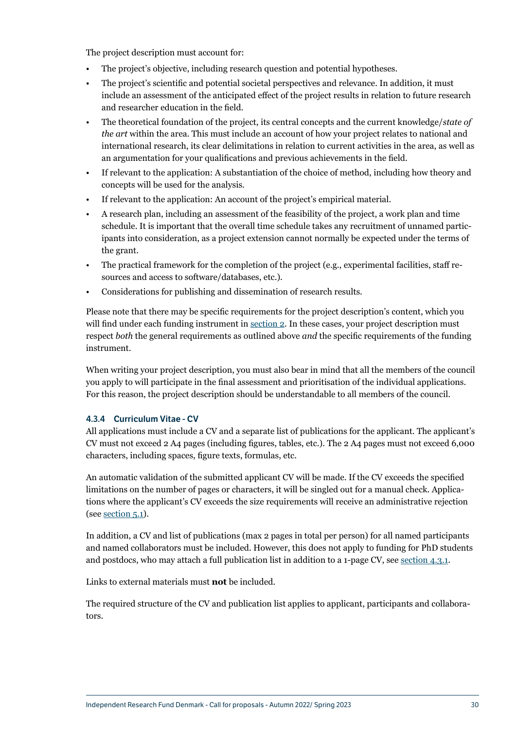<span id="page-30-0"></span>The project description must account for:

- The project's objective, including research question and potential hypotheses.
- The project's scientific and potential societal perspectives and relevance. In addition, it must include an assessment of the anticipated effect of the project results in relation to future research and researcher education in the field.
- The theoretical foundation of the project, its central concepts and the current knowledge/*state of the art* within the area. This must include an account of how your project relates to national and international research, its clear delimitations in relation to current activities in the area, as well as an argumentation for your qualifications and previous achievements in the field.
- If relevant to the application: A substantiation of the choice of method, including how theory and concepts will be used for the analysis.
- If relevant to the application: An account of the project's empirical material.
- A research plan, including an assessment of the feasibility of the project, a work plan and time schedule. It is important that the overall time schedule takes any recruitment of unnamed participants into consideration, as a project extension cannot normally be expected under the terms of the grant.
- The practical framework for the completion of the project (e.g., experimental facilities, staff resources and access to software/databases, etc.).
- Considerations for publishing and dissemination of research results.

Please note that there may be specific requirements for the project description's content, which you will find under each funding instrument in [section 2](#page-7-1). In these cases, your project description must respect *both* the general requirements as outlined above *and* the specific requirements of the funding instrument.

When writing your project description, you must also bear in mind that all the members of the council you apply to will participate in the final assessment and prioritisation of the individual applications. For this reason, the project description should be understandable to all members of the council.

#### <span id="page-30-1"></span>4.3.4 Curriculum Vitae - CV

All applications must include a CV and a separate list of publications for the applicant. The applicant's CV must not exceed 2 A4 pages (including figures, tables, etc.). The 2 A4 pages must not exceed 6,000 characters, including spaces, figure texts, formulas, etc.

An automatic validation of the submitted applicant CV will be made. If the CV exceeds the specified limitations on the number of pages or characters, it will be singled out for a manual check. Applications where the applicant's CV exceeds the size requirements will receive an administrative rejection (see [section 5.1](#page-37-2)).

In addition, a CV and list of publications (max 2 pages in total per person) for all named participants and named collaborators must be included. However, this does not apply to funding for PhD students and postdocs, who may attach a full publication list in addition to a 1-page CV, see [section 4.3.1](#page-26-1).

Links to external materials must **not** be included.

The required structure of the CV and publication list applies to applicant, participants and collaborators.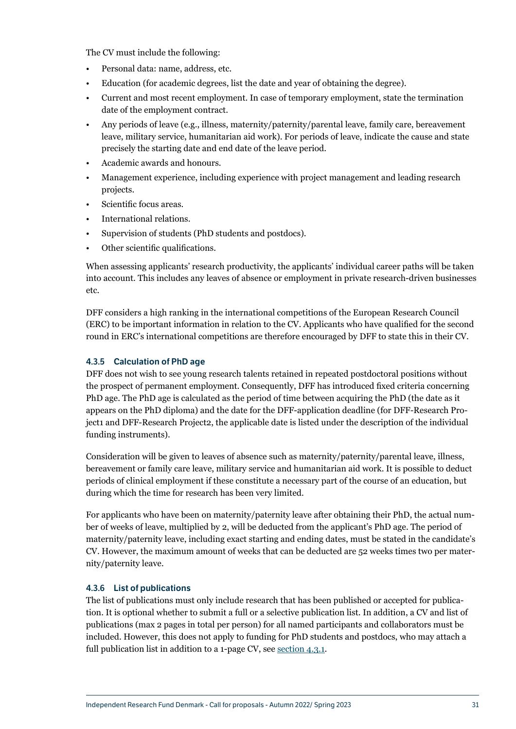<span id="page-31-0"></span>The CV must include the following:

- Personal data: name, address, etc.
- Education (for academic degrees, list the date and year of obtaining the degree).
- Current and most recent employment. In case of temporary employment, state the termination date of the employment contract.
- Any periods of leave (e.g., illness, maternity/paternity/parental leave, family care, bereavement leave, military service, humanitarian aid work). For periods of leave, indicate the cause and state precisely the starting date and end date of the leave period.
- Academic awards and honours.
- Management experience, including experience with project management and leading research projects.
- Scientific focus areas.
- International relations.
- Supervision of students (PhD students and postdocs).
- Other scientific qualifications.

When assessing applicants' research productivity, the applicants' individual career paths will be taken into account. This includes any leaves of absence or employment in private research-driven businesses etc.

DFF considers a high ranking in the international competitions of the European Research Council (ERC) to be important information in relation to the CV. Applicants who have qualified for the second round in ERC's international competitions are therefore encouraged by DFF to state this in their CV.

#### <span id="page-31-1"></span>4.3.5 Calculation of PhD age

DFF does not wish to see young research talents retained in repeated postdoctoral positions without the prospect of permanent employment. Consequently, DFF has introduced fixed criteria concerning PhD age. The PhD age is calculated as the period of time between acquiring the PhD (the date as it appears on the PhD diploma) and the date for the DFF-application deadline (for DFF-Research Project1 and DFF-Research Project2, the applicable date is listed under the description of the individual funding instruments).

Consideration will be given to leaves of absence such as maternity/paternity/parental leave, illness, bereavement or family care leave, military service and humanitarian aid work. It is possible to deduct periods of clinical employment if these constitute a necessary part of the course of an education, but during which the time for research has been very limited.

For applicants who have been on maternity/paternity leave after obtaining their PhD, the actual number of weeks of leave, multiplied by 2, will be deducted from the applicant's PhD age. The period of maternity/paternity leave, including exact starting and ending dates, must be stated in the candidate's CV. However, the maximum amount of weeks that can be deducted are 52 weeks times two per maternity/paternity leave.

#### <span id="page-31-2"></span>4.3.6 List of publications

The list of publications must only include research that has been published or accepted for publication. It is optional whether to submit a full or a selective publication list. In addition, a CV and list of publications (max 2 pages in total per person) for all named participants and collaborators must be included. However, this does not apply to funding for PhD students and postdocs, who may attach a full publication list in addition to a 1-page CV, see [section 4.3.1.](#page-26-1)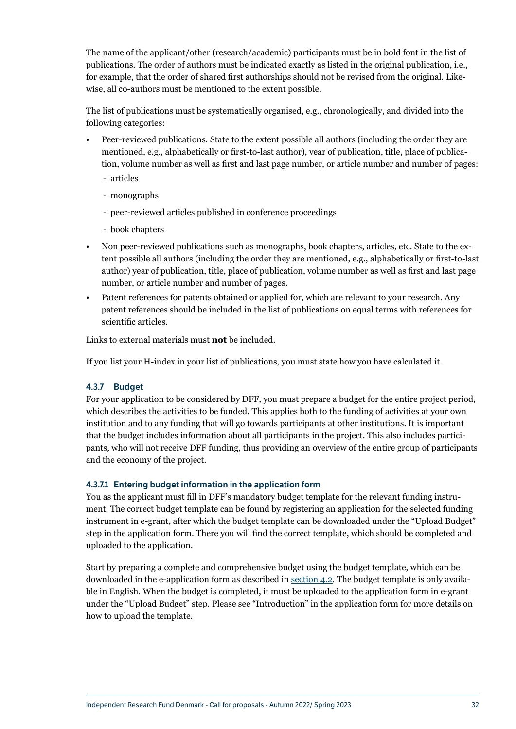<span id="page-32-0"></span>The name of the applicant/other (research/academic) participants must be in bold font in the list of publications. The order of authors must be indicated exactly as listed in the original publication, i.e., for example, that the order of shared first authorships should not be revised from the original. Likewise, all co-authors must be mentioned to the extent possible.

The list of publications must be systematically organised, e.g., chronologically, and divided into the following categories:

- Peer-reviewed publications. State to the extent possible all authors (including the order they are mentioned, e.g., alphabetically or first-to-last author), year of publication, title, place of publication, volume number as well as first and last page number, or article number and number of pages:
	- articles
	- monographs
	- peer-reviewed articles published in conference proceedings
	- book chapters
- Non peer-reviewed publications such as monographs, book chapters, articles, etc. State to the extent possible all authors (including the order they are mentioned, e.g., alphabetically or first-to-last author) year of publication, title, place of publication, volume number as well as first and last page number, or article number and number of pages.
- Patent references for patents obtained or applied for, which are relevant to your research. Any patent references should be included in the list of publications on equal terms with references for scientific articles.

Links to external materials must **not** be included.

If you list your H-index in your list of publications, you must state how you have calculated it.

## <span id="page-32-1"></span>4.3.7 Budget

For your application to be considered by DFF, you must prepare a budget for the entire project period, which describes the activities to be funded. This applies both to the funding of activities at your own institution and to any funding that will go towards participants at other institutions. It is important that the budget includes information about all participants in the project. This also includes participants, who will not receive DFF funding, thus providing an overview of the entire group of participants and the economy of the project.

#### 4.3.7.1 Entering budget information in the application form

You as the applicant must fill in DFF's mandatory budget template for the relevant funding instrument. The correct budget template can be found by registering an application for the selected funding instrument in e-grant, after which the budget template can be downloaded under the "Upload Budget" step in the application form. There you will find the correct template, which should be completed and uploaded to the application.

Start by preparing a complete and comprehensive budget using the budget template, which can be downloaded in the e-application form as described in [section 4.2.](#page-23-1) The budget template is only available in English. When the budget is completed, it must be uploaded to the application form in e-grant under the "Upload Budget" step. Please see "Introduction" in the application form for more details on how to upload the template.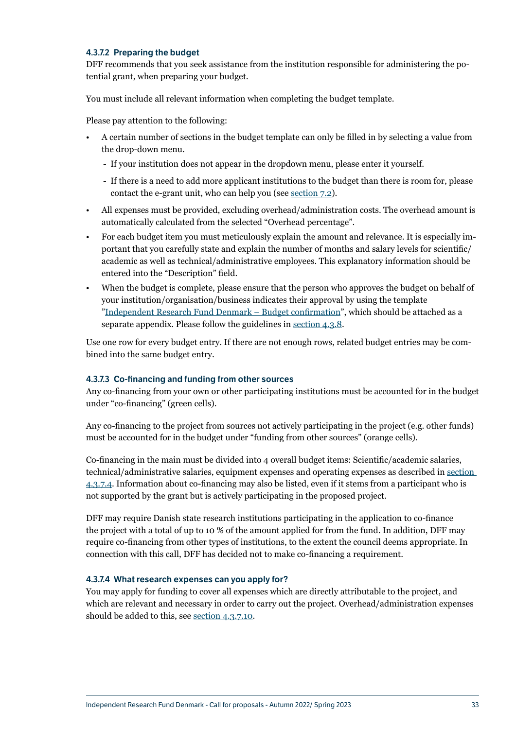#### 4.3.7.2 Preparing the budget

DFF recommends that you seek assistance from the institution responsible for administering the potential grant, when preparing your budget.

You must include all relevant information when completing the budget template.

Please pay attention to the following:

- A certain number of sections in the budget template can only be filled in by selecting a value from the drop-down menu.
	- If your institution does not appear in the dropdown menu, please enter it yourself.
	- If there is a need to add more applicant institutions to the budget than there is room for, please contact the e-grant unit, who can help you (see [section 7.2\)](#page-44-1).
- All expenses must be provided, excluding overhead/administration costs. The overhead amount is automatically calculated from the selected "Overhead percentage".
- For each budget item you must meticulously explain the amount and relevance. It is especially important that you carefully state and explain the number of months and salary levels for scientific/ academic as well as technical/administrative employees. This explanatory information should be entered into the "Description" field.
- When the budget is complete, please ensure that the person who approves the budget on behalf of your institution/organisation/business indicates their approval by using the template ["Independent Research Fund Denmark – Budget confirmation](https://dff.dk/en/application/forms-for-application)", which should be attached as a separate appendix. Please follow the guidelines in [section 4.3.8.](#page-37-1)

Use one row for every budget entry. If there are not enough rows, related budget entries may be combined into the same budget entry.

#### 4.3.7.3 Co-financing and funding from other sources

Any co-financing from your own or other participating institutions must be accounted for in the budget under "co-financing" (green cells).

Any co-financing to the project from sources not actively participating in the project (e.g. other funds) must be accounted for in the budget under "funding from other sources" (orange cells).

Co-financing in the main must be divided into 4 overall budget items: Scientific/academic salaries, technical/administrative salaries, equipment expenses and operating expenses as described in [section](#page-33-0)  [4.3.7.4](#page-33-0). Information about co-financing may also be listed, even if it stems from a participant who is not supported by the grant but is actively participating in the proposed project.

DFF may require Danish state research institutions participating in the application to co-finance the project with a total of up to 10 % of the amount applied for from the fund. In addition, DFF may require co-financing from other types of institutions, to the extent the council deems appropriate. In connection with this call, DFF has decided not to make co-financing a requirement.

#### <span id="page-33-0"></span>4.3.7.4 What research expenses can you apply for?

You may apply for funding to cover all expenses which are directly attributable to the project, and which are relevant and necessary in order to carry out the project. Overhead/administration expenses should be added to this, see [section 4.3.7.10.](#page-36-0)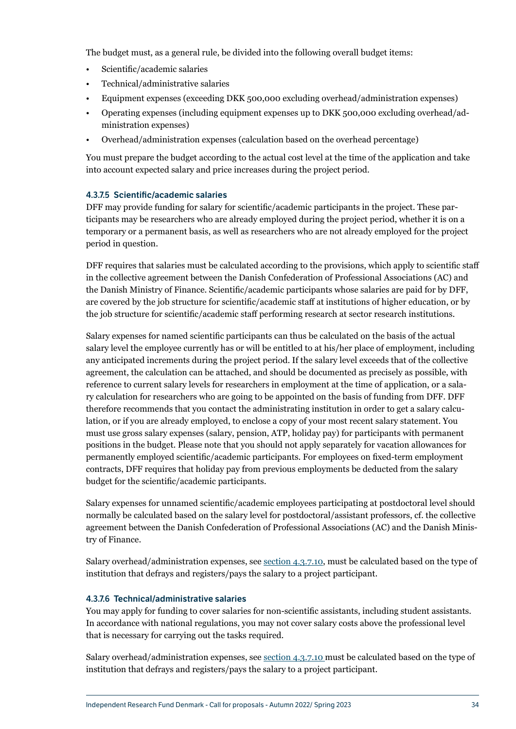The budget must, as a general rule, be divided into the following overall budget items:

- Scientific/academic salaries
- Technical/administrative salaries
- Equipment expenses (exceeding DKK 500,000 excluding overhead/administration expenses)
- Operating expenses (including equipment expenses up to DKK 500,000 excluding overhead/administration expenses)
- Overhead/administration expenses (calculation based on the overhead percentage)

You must prepare the budget according to the actual cost level at the time of the application and take into account expected salary and price increases during the project period.

#### 4.3.7.5 Scientific/academic salaries

DFF may provide funding for salary for scientific/academic participants in the project. These participants may be researchers who are already employed during the project period, whether it is on a temporary or a permanent basis, as well as researchers who are not already employed for the project period in question.

DFF requires that salaries must be calculated according to the provisions, which apply to scientific staff in the collective agreement between the Danish Confederation of Professional Associations (AC) and the Danish Ministry of Finance. Scientific/academic participants whose salaries are paid for by DFF, are covered by the job structure for scientific/academic staff at institutions of higher education, or by the job structure for scientific/academic staff performing research at sector research institutions.

Salary expenses for named scientific participants can thus be calculated on the basis of the actual salary level the employee currently has or will be entitled to at his/her place of employment, including any anticipated increments during the project period. If the salary level exceeds that of the collective agreement, the calculation can be attached, and should be documented as precisely as possible, with reference to current salary levels for researchers in employment at the time of application, or a salary calculation for researchers who are going to be appointed on the basis of funding from DFF. DFF therefore recommends that you contact the administrating institution in order to get a salary calculation, or if you are already employed, to enclose a copy of your most recent salary statement. You must use gross salary expenses (salary, pension, ATP, holiday pay) for participants with permanent positions in the budget. Please note that you should not apply separately for vacation allowances for permanently employed scientific/academic participants. For employees on fixed-term employment contracts, DFF requires that holiday pay from previous employments be deducted from the salary budget for the scientific/academic participants.

Salary expenses for unnamed scientific/academic employees participating at postdoctoral level should normally be calculated based on the salary level for postdoctoral/assistant professors, cf. the collective agreement between the Danish Confederation of Professional Associations (AC) and the Danish Ministry of Finance.

Salary overhead/administration expenses, see [section 4.3.7.10,](#page-36-0) must be calculated based on the type of institution that defrays and registers/pays the salary to a project participant.

#### 4.3.7.6 Technical/administrative salaries

You may apply for funding to cover salaries for non-scientific assistants, including student assistants. In accordance with national regulations, you may not cover salary costs above the professional level that is necessary for carrying out the tasks required.

Salary overhead/administration expenses, see [section 4.3.7.10](#page-36-0) must be calculated based on the type of institution that defrays and registers/pays the salary to a project participant.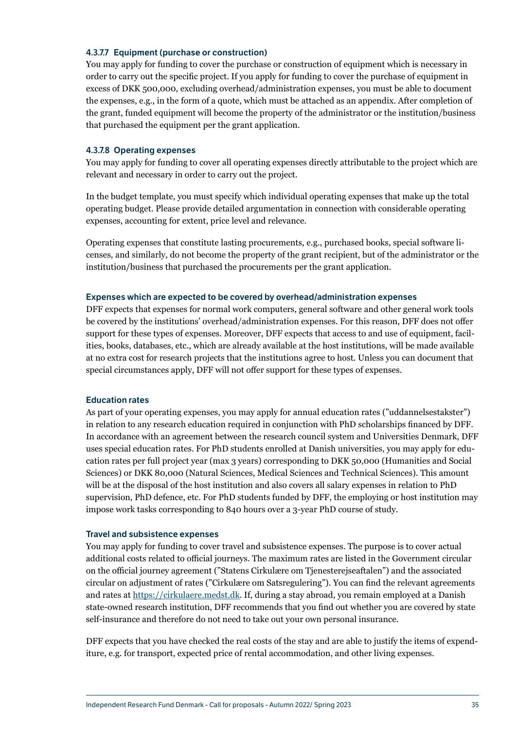#### 4.3.7.7 Equipment (purchase or construction)

You may apply for funding to cover the purchase or construction of equipment which is necessary in order to carry out the specific project. If you apply for funding to cover the purchase of equipment in excess of DKK 500,000, excluding overhead/administration expenses, you must be able to document the expenses, e.g., in the form of a quote, which must be attached as an appendix. After completion of the grant, funded equipment will become the property of the administrator or the institution/business that purchased the equipment per the grant application.

#### <span id="page-35-0"></span>4.3.7.8 Operating expenses

You may apply for funding to cover all operating expenses directly attributable to the project which are relevant and necessary in order to carry out the project.

In the budget template, you must specify which individual operating expenses that make up the total operating budget. Please provide detailed argumentation in connection with considerable operating expenses, accounting for extent, price level and relevance.

Operating expenses that constitute lasting procurements, e.g., purchased books, special software licenses, and similarly, do not become the property of the grant recipient, but of the administrator or the institution/business that purchased the procurements per the grant application.

#### Expenses which are expected to be covered by overhead/administration expenses

DFF expects that expenses for normal work computers, general software and other general work tools be covered by the institutions' overhead/administration expenses. For this reason, DFF does not offer support for these types of expenses. Moreover, DFF expects that access to and use of equipment, facilities, books, databases, etc., which are already available at the host institutions, will be made available at no extra cost for research projects that the institutions agree to host. Unless you can document that special circumstances apply, DFF will not offer support for these types of expenses.

#### Education rates

As part of your operating expenses, you may apply for annual education rates ("uddannelsestakster") in relation to any research education required in conjunction with PhD scholarships financed by DFF. In accordance with an agreement between the research council system and Universities Denmark, DFF uses special education rates. For PhD students enrolled at Danish universities, you may apply for education rates per full project year (max 3 years) corresponding to DKK 50,000 (Humanities and Social Sciences) or DKK 80,000 (Natural Sciences, Medical Sciences and Technical Sciences). This amount will be at the disposal of the host institution and also covers all salary expenses in relation to PhD supervision, PhD defence, etc. For PhD students funded by DFF, the employing or host institution may impose work tasks corresponding to 840 hours over a 3-year PhD course of study.

#### Travel and subsistence expenses

You may apply for funding to cover travel and subsistence expenses. The purpose is to cover actual additional costs related to official journeys. The maximum rates are listed in the Government circular on the official journey agreement ("Statens Cirkulære om Tjenesterejseaftalen") and the associated circular on adjustment of rates ("Cirkulære om Satsregulering"). You can find the relevant agreements and rates at [https://cirkulaere.medst.dk.](https://cirkulaere.medst.dk) If, during a stay abroad, you remain employed at a Danish state-owned research institution, DFF recommends that you find out whether you are covered by state self-insurance and therefore do not need to take out your own personal insurance.

DFF expects that you have checked the real costs of the stay and are able to justify the items of expenditure, e.g. for transport, expected price of rental accommodation, and other living expenses.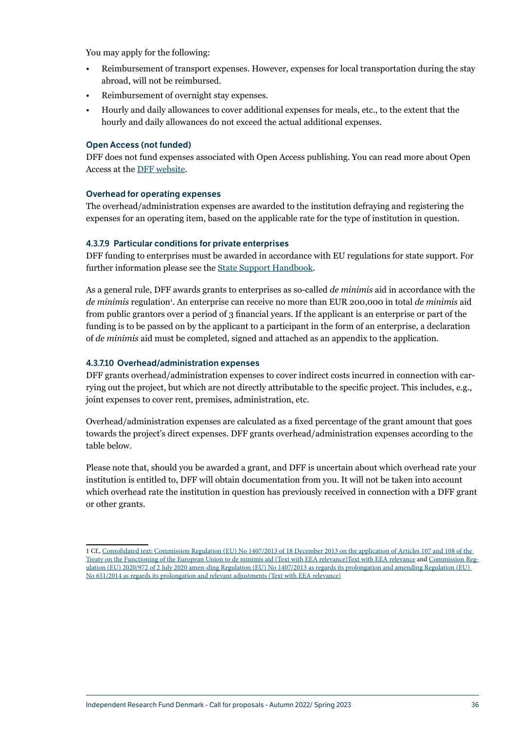You may apply for the following:

- Reimbursement of transport expenses. However, expenses for local transportation during the stay abroad, will not be reimbursed.
- Reimbursement of overnight stay expenses.
- Hourly and daily allowances to cover additional expenses for meals, etc., to the extent that the hourly and daily allowances do not exceed the actual additional expenses.

#### Open Access (not funded)

DFF does not fund expenses associated with Open Access publishing. You can read more about Open Access at the [DFF website.](https://dff.dk/en/about-us/goals-and-policies/open-access-policy)

#### Overhead for operating expenses

The overhead/administration expenses are awarded to the institution defraying and registering the expenses for an operating item, based on the applicable rate for the type of institution in question.

#### <span id="page-36-1"></span>4.3.7.9 Particular conditions for private enterprises

DFF funding to enterprises must be awarded in accordance with EU regulations for state support. For further information please see the [State Support Handbook.](https://em.dk/media/10141/statsstoettehaandbog-2017.pdf)

As a general rule, DFF awards grants to enterprises as so-called *de minimis* aid in accordance with the de minimis regulation<sup>1</sup>. An enterprise can receive no more than EUR 200,000 in total de minimis aid from public grantors over a period of 3 financial years. If the applicant is an enterprise or part of the funding is to be passed on by the applicant to a participant in the form of an enterprise, a declaration of *de minimis* aid must be completed, signed and attached as an appendix to the application.

#### <span id="page-36-0"></span>4.3.7.10 Overhead/administration expenses

DFF grants overhead/administration expenses to cover indirect costs incurred in connection with carrying out the project, but which are not directly attributable to the specific project. This includes, e.g., joint expenses to cover rent, premises, administration, etc.

Overhead/administration expenses are calculated as a fixed percentage of the grant amount that goes towards the project's direct expenses. DFF grants overhead/administration expenses according to the table below.

Please note that, should you be awarded a grant, and DFF is uncertain about which overhead rate your institution is entitled to, DFF will obtain documentation from you. It will not be taken into account which overhead rate the institution in question has previously received in connection with a DFF grant or other grants.

<sup>1</sup> Cf., [Consolidated text: Commission Regulation \(EU\) No 1407/2013 of 18 December 2013 on the application of Articles 107 and 108 of the](https://eur-lex.europa.eu/legal-content/EN/TXT/?uri=CELEX%3A02013R1407-20200727)  [Treaty on the Functioning of the European Union to de minimis aid \(Text with EEA relevance\)Text with EEA relevance](https://eur-lex.europa.eu/legal-content/EN/TXT/?uri=CELEX%3A02013R1407-20200727) and [Commission Reg](https://eur-lex.europa.eu/legal-content/EN/TXT/?uri=celex%3A32020R0972)[ulation \(EU\) 2020/972 of 2 July 2020 amen-ding Regulation \(EU\) No 1407/2013 as regards its prolongation and amending Regulation \(EU\)](https://eur-lex.europa.eu/legal-content/EN/TXT/?uri=celex%3A32020R0972)  [No 651/2014 as regards its prolongation and relevant adjustments \(Text with EEA relevance\)](https://eur-lex.europa.eu/legal-content/EN/TXT/?uri=celex%3A32020R0972)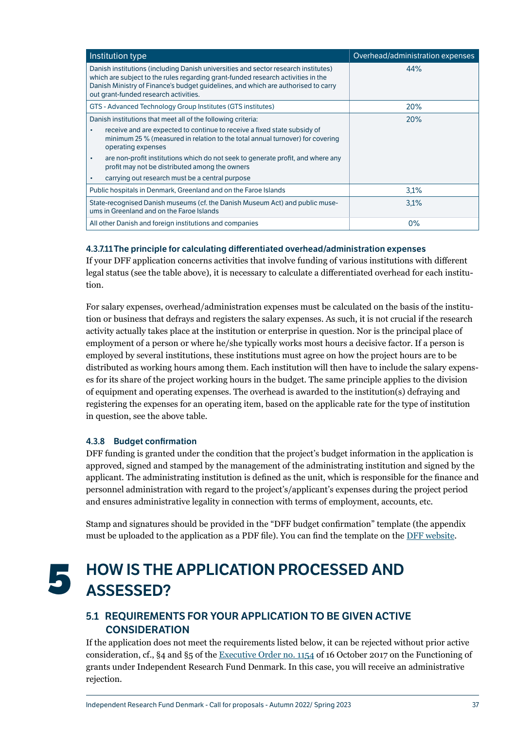<span id="page-37-0"></span>

| Institution type                                                                                                                                                                                                                                                                                     | Overhead/administration expenses |
|------------------------------------------------------------------------------------------------------------------------------------------------------------------------------------------------------------------------------------------------------------------------------------------------------|----------------------------------|
| Danish institutions (including Danish universities and sector research institutes)<br>which are subject to the rules regarding grant-funded research activities in the<br>Danish Ministry of Finance's budget quidelines, and which are authorised to carry<br>out grant-funded research activities. | 44%                              |
| GTS - Advanced Technology Group Institutes (GTS institutes)                                                                                                                                                                                                                                          | 20%                              |
| Danish institutions that meet all of the following criteria:                                                                                                                                                                                                                                         | 20%                              |
| receive and are expected to continue to receive a fixed state subsidy of<br>$\bullet$<br>minimum 25 % (measured in relation to the total annual turnover) for covering<br>operating expenses                                                                                                         |                                  |
| are non-profit institutions which do not seek to generate profit, and where any<br>$\bullet$<br>profit may not be distributed among the owners                                                                                                                                                       |                                  |
| carrying out research must be a central purpose<br>٠                                                                                                                                                                                                                                                 |                                  |
| Public hospitals in Denmark, Greenland and on the Faroe Islands                                                                                                                                                                                                                                      | 3.1%                             |
| State-recognised Danish museums (cf. the Danish Museum Act) and public muse-<br>ums in Greenland and on the Faroe Islands                                                                                                                                                                            | 3.1%                             |
| All other Danish and foreign institutions and companies                                                                                                                                                                                                                                              | 0%                               |

#### 4.3.7.11The principle for calculating differentiated overhead/administration expenses

If your DFF application concerns activities that involve funding of various institutions with different legal status (see the table above), it is necessary to calculate a differentiated overhead for each institution.

For salary expenses, overhead/administration expenses must be calculated on the basis of the institution or business that defrays and registers the salary expenses. As such, it is not crucial if the research activity actually takes place at the institution or enterprise in question. Nor is the principal place of employment of a person or where he/she typically works most hours a decisive factor. If a person is employed by several institutions, these institutions must agree on how the project hours are to be distributed as working hours among them. Each institution will then have to include the salary expenses for its share of the project working hours in the budget. The same principle applies to the division of equipment and operating expenses. The overhead is awarded to the institution(s) defraying and registering the expenses for an operating item, based on the applicable rate for the type of institution in question, see the above table.

#### <span id="page-37-1"></span>4.3.8 Budget confirmation

DFF funding is granted under the condition that the project's budget information in the application is approved, signed and stamped by the management of the administrating institution and signed by the applicant. The administrating institution is defined as the unit, which is responsible for the finance and personnel administration with regard to the project's/applicant's expenses during the project period and ensures administrative legality in connection with terms of employment, accounts, etc.

Stamp and signatures should be provided in the "DFF budget confirmation" template (the appendix must be uploaded to the application as a PDF file). You can find the template on the [DFF website](https://dff.dk/en/application/forms-for-application).

## **5** HOW IS THE APPLICATION PROCESSED AND ASSESSED?

## <span id="page-37-2"></span>5.1 REQUIREMENTS FOR YOUR APPLICATION TO BE GIVEN ACTIVE **CONSIDERATION**

If the application does not meet the requirements listed below, it can be rejected without prior active consideration, cf., §4 and §5 of the [Executive Order no. 1154](https://www.retsinformation.dk/eli/lta/2017/1154) of 16 October 2017 on the Functioning of grants under Independent Research Fund Denmark. In this case, you will receive an administrative rejection.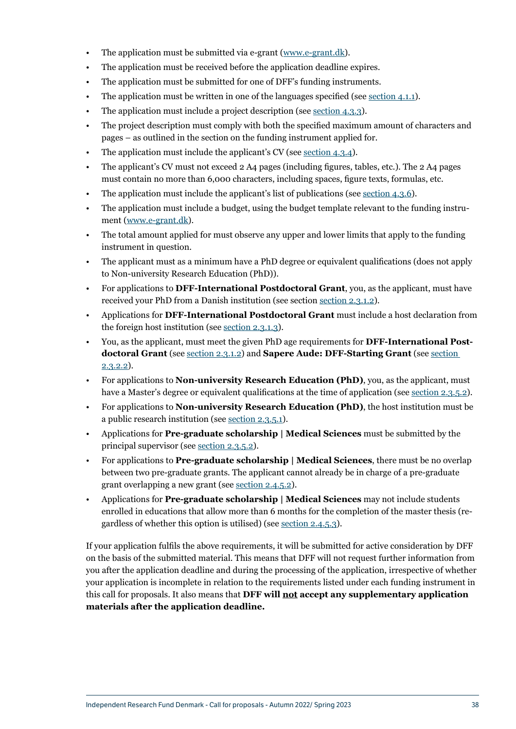- The application must be submitted via e-grant ([www.e-grant.dk\)](https://login.e-grant.dk/?wa=wsignin1.0&wtrealm=urn%3aTilskudsPortal&wctx=https%3a%2f%2fwww.e-grant.dk%2f_layouts%2f15%2fAuthenticate.aspx%3fSource%3dhttps%3a%2f%2fwww.e-grant.dk%2f).
- The application must be received before the application deadline expires.
- The application must be submitted for one of DFF's funding instruments.
- The application must be written in one of the languages specified (see [section 4.1.1\)](#page-23-2).
- The application must include a project description (see [section 4.3.3](#page-29-1)).
- The project description must comply with both the specified maximum amount of characters and pages – as outlined in the section on the funding instrument applied for.
- The application must include the applicant's CV (see <u>section 4.3.4</u>).
- The applicant's CV must not exceed 2 A4 pages (including figures, tables, etc.). The 2 A4 pages must contain no more than 6,000 characters, including spaces, figure texts, formulas, etc.
- The application must include the applicant's list of publications (see <u>section 4.3.6</u>).
- The application must include a budget, using the budget template relevant to the funding instrument ([www.e-grant.dk](https://login.e-grant.dk/?wa=wsignin1.0&wtrealm=urn%3aTilskudsPortal&wctx=https%3a%2f%2fwww.e-grant.dk%2f_layouts%2f15%2fAuthenticate.aspx%3fSource%3dhttps%3a%2f%2fwww.e-grant.dk%2f)).
- The total amount applied for must observe any upper and lower limits that apply to the funding instrument in question.
- The applicant must as a minimum have a PhD degree or equivalent qualifications (does not apply to Non-university Research Education (PhD)).
- For applications to **DFF-International Postdoctoral Grant**, you, as the applicant, must have received your PhD from a Danish institution (see section [section 2.3.1.2\)](#page-9-2).
- Applications for **DFF-International Postdoctoral Grant** must include a host declaration from the foreign host institution (see [section 2.3.1.3\)](#page-10-0).
- You, as the applicant, must meet the given PhD age requirements for **DFF-International Postdoctoral Grant** (see [section 2.3.1.2](#page-9-2)) and **Sapere Aude: DFF-Starting Grant** (see [section](#page-11-1)  [2.3.2.2\)](#page-11-1).
- For applications to **Non-university Research Education (PhD)**, you, as the applicant, must have a Master's degree or equivalent qualifications at the time of application (see [section 2.3.5.2\)](#page-15-0).
- For applications to **Non-university Research Education (PhD)**, the host institution must be a public research institution (see [section 2.3.5.1](#page-14-1)).
- Applications for **Pre-graduate scholarship | Medical Sciences** must be submitted by the principal supervisor (see [section 2.3.5.2](#page-15-0)).
- For applications to **Pre-graduate scholarship | Medical Sciences**, there must be no overlap between two pre-graduate grants. The applicant cannot already be in charge of a pre-graduate grant overlapping a new grant (see [section 2.4.5.2](#page-19-1)).
- Applications for **Pre-graduate scholarship | Medical Sciences** may not include students enrolled in educations that allow more than 6 months for the completion of the master thesis (regardless of whether this option is utilised) (see [section 2.4.5.3](#page-19-2)).

If your application fulfils the above requirements, it will be submitted for active consideration by DFF on the basis of the submitted material. This means that DFF will not request further information from you after the application deadline and during the processing of the application, irrespective of whether your application is incomplete in relation to the requirements listed under each funding instrument in this call for proposals. It also means that **DFF will not accept any supplementary application materials after the application deadline.**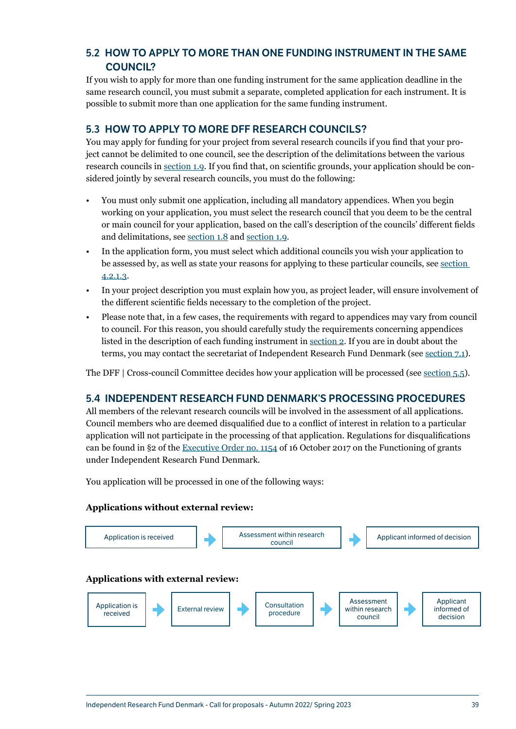## <span id="page-39-0"></span>5.2 HOW TO APPLY TO MORE THAN ONE FUNDING INSTRUMENT IN THE SAME COUNCIL?

If you wish to apply for more than one funding instrument for the same application deadline in the same research council, you must submit a separate, completed application for each instrument. It is possible to submit more than one application for the same funding instrument.

## <span id="page-39-1"></span>5.3 HOW TO APPLY TO MORE DFF RESEARCH COUNCILS?

You may apply for funding for your project from several research councils if you find that your project cannot be delimited to one council, see the description of the delimitations between the various research councils in [section 1.9.](#page-5-2) If you find that, on scientific grounds, your application should be considered jointly by several research councils, you must do the following:

- You must only submit one application, including all mandatory appendices. When you begin working on your application, you must select the research council that you deem to be the central or main council for your application, based on the call's description of the councils' different fields and delimitations, see [section 1.8](#page-5-1) and [section 1.9](#page-5-2).
- In the application form, you must select which additional councils you wish your application to be assessed by, as well as state your reasons for applying to these particular councils, see [section](#page-26-2)  [4.2.1.3](#page-26-2).
- In your project description you must explain how you, as project leader, will ensure involvement of the different scientific fields necessary to the completion of the project.
- Please note that, in a few cases, the requirements with regard to appendices may vary from council to council. For this reason, you should carefully study the requirements concerning appendices listed in the description of each funding instrument in section  $2$ . If you are in doubt about the terms, you may contact the secretariat of Independent Research Fund Denmark (see [section 7.1\)](#page-44-2).

The DFF | Cross-council Committee decides how your application will be processed (see [section 5.5](#page-40-1)).

## <span id="page-39-2"></span>5.4 INDEPENDENT RESEARCH FUND DENMARK'S PROCESSING PROCEDURES

All members of the relevant research councils will be involved in the assessment of all applications. Council members who are deemed disqualified due to a conflict of interest in relation to a particular application will not participate in the processing of that application. Regulations for disqualifications can be found in §2 of the [Executive Order no. 1154](https://www.retsinformation.dk/eli/lta/2017/1154) of 16 October 2017 on the Functioning of grants under Independent Research Fund Denmark.

You application will be processed in one of the following ways:

#### **Applications without external review:**

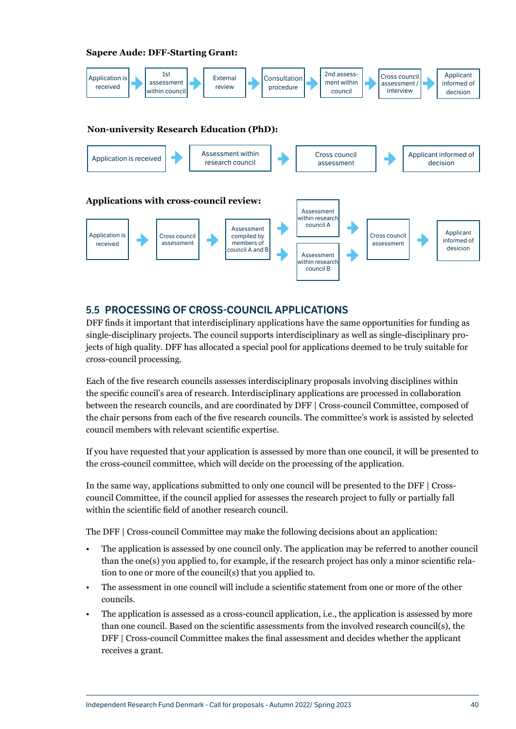#### <span id="page-40-0"></span>**Sapere Aude: DFF-Starting Grant:**



## <span id="page-40-1"></span>5.5 PROCESSING OF CROSS-COUNCIL APPLICATIONS

DFF finds it important that interdisciplinary applications have the same opportunities for funding as single-disciplinary projects. The council supports interdisciplinary as well as single-disciplinary projects of high quality. DFF has allocated a special pool for applications deemed to be truly suitable for cross-council processing.

Each of the five research councils assesses interdisciplinary proposals involving disciplines within the specific council's area of research. Interdisciplinary applications are processed in collaboration between the research councils, and are coordinated by DFF | Cross-council Committee, composed of the chair persons from each of the five research councils. The committee's work is assisted by selected council members with relevant scientific expertise.

If you have requested that your application is assessed by more than one council, it will be presented to the cross-council committee, which will decide on the processing of the application.

In the same way, applications submitted to only one council will be presented to the DFF | Crosscouncil Committee, if the council applied for assesses the research project to fully or partially fall within the scientific field of another research council.

The DFF | Cross-council Committee may make the following decisions about an application:

- The application is assessed by one council only. The application may be referred to another council than the one(s) you applied to, for example, if the research project has only a minor scientific relation to one or more of the council(s) that you applied to.
- The assessment in one council will include a scientific statement from one or more of the other councils.
- The application is assessed as a cross-council application, i.e., the application is assessed by more than one council. Based on the scientific assessments from the involved research council(s), the DFF | Cross-council Committee makes the final assessment and decides whether the applicant receives a grant.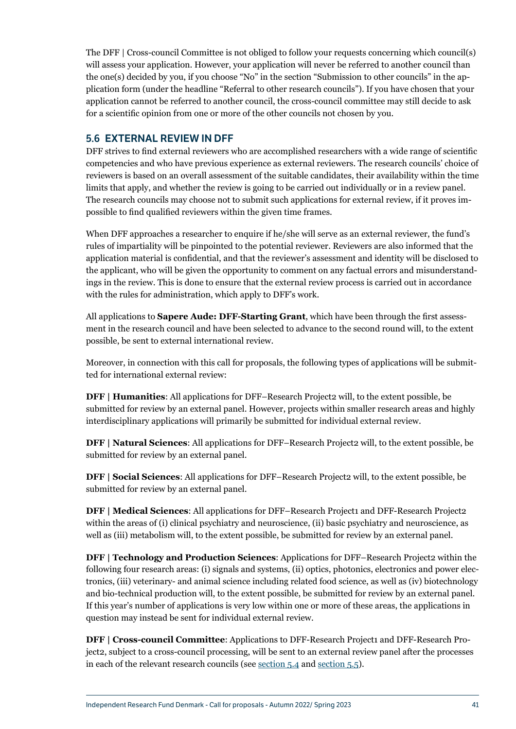<span id="page-41-0"></span>The DFF | Cross-council Committee is not obliged to follow your requests concerning which council(s) will assess your application. However, your application will never be referred to another council than the one(s) decided by you, if you choose "No" in the section "Submission to other councils" in the application form (under the headline "Referral to other research councils"). If you have chosen that your application cannot be referred to another council, the cross-council committee may still decide to ask for a scientific opinion from one or more of the other councils not chosen by you.

## <span id="page-41-1"></span>5.6 EXTERNAL REVIEW IN DFF

DFF strives to find external reviewers who are accomplished researchers with a wide range of scientific competencies and who have previous experience as external reviewers. The research councils' choice of reviewers is based on an overall assessment of the suitable candidates, their availability within the time limits that apply, and whether the review is going to be carried out individually or in a review panel. The research councils may choose not to submit such applications for external review, if it proves impossible to find qualified reviewers within the given time frames.

When DFF approaches a researcher to enquire if he/she will serve as an external reviewer, the fund's rules of impartiality will be pinpointed to the potential reviewer. Reviewers are also informed that the application material is confidential, and that the reviewer's assessment and identity will be disclosed to the applicant, who will be given the opportunity to comment on any factual errors and misunderstandings in the review. This is done to ensure that the external review process is carried out in accordance with the rules for administration, which apply to DFF's work.

All applications to **Sapere Aude: DFF-Starting Grant**, which have been through the first assessment in the research council and have been selected to advance to the second round will, to the extent possible, be sent to external international review.

Moreover, in connection with this call for proposals, the following types of applications will be submitted for international external review:

**DFF | Humanities**: All applications for DFF–Research Project2 will, to the extent possible, be submitted for review by an external panel. However, projects within smaller research areas and highly interdisciplinary applications will primarily be submitted for individual external review.

**DFF | Natural Sciences**: All applications for DFF–Research Project2 will, to the extent possible, be submitted for review by an external panel.

**DFF | Social Sciences**: All applications for DFF–Research Project2 will, to the extent possible, be submitted for review by an external panel.

**DFF | Medical Sciences:** All applications for DFF–Research Project1 and DFF-Research Project2 within the areas of (i) clinical psychiatry and neuroscience, (ii) basic psychiatry and neuroscience, as well as (iii) metabolism will, to the extent possible, be submitted for review by an external panel.

**DFF | Technology and Production Sciences**: Applications for DFF–Research Project2 within the following four research areas: (i) signals and systems, (ii) optics, photonics, electronics and power electronics, (iii) veterinary- and animal science including related food science, as well as (iv) biotechnology and bio-technical production will, to the extent possible, be submitted for review by an external panel. If this year's number of applications is very low within one or more of these areas, the applications in question may instead be sent for individual external review.

**DFF | Cross-council Committee**: Applications to DFF-Research Project1 and DFF-Research Project2, subject to a cross-council processing, will be sent to an external review panel after the processes in each of the relevant research councils (see [section 5.4](#page-39-2) and [section 5.5\)](#page-40-1).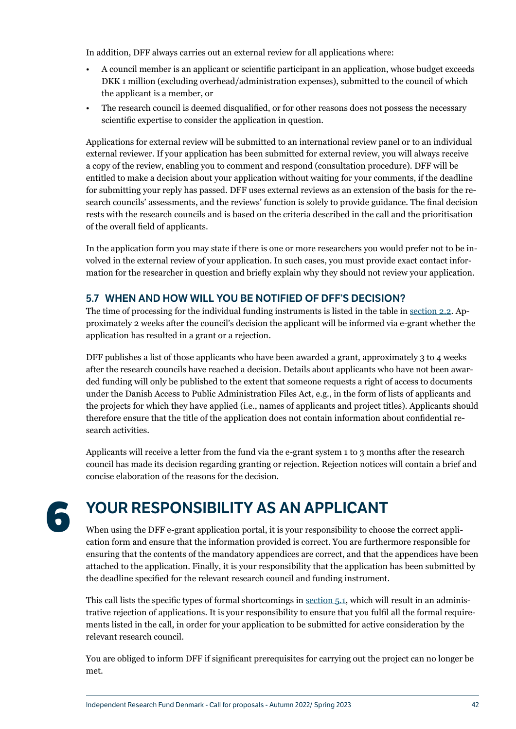<span id="page-42-0"></span>In addition, DFF always carries out an external review for all applications where:

- A council member is an applicant or scientific participant in an application, whose budget exceeds DKK 1 million (excluding overhead/administration expenses), submitted to the council of which the applicant is a member, or
- The research council is deemed disqualified, or for other reasons does not possess the necessary scientific expertise to consider the application in question.

Applications for external review will be submitted to an international review panel or to an individual external reviewer. If your application has been submitted for external review, you will always receive a copy of the review, enabling you to comment and respond (consultation procedure). DFF will be entitled to make a decision about your application without waiting for your comments, if the deadline for submitting your reply has passed. DFF uses external reviews as an extension of the basis for the research councils' assessments, and the reviews' function is solely to provide guidance. The final decision rests with the research councils and is based on the criteria described in the call and the prioritisation of the overall field of applicants.

In the application form you may state if there is one or more researchers you would prefer not to be involved in the external review of your application. In such cases, you must provide exact contact information for the researcher in question and briefly explain why they should not review your application.

## 5.7 WHEN AND HOW WILL YOU BE NOTIFIED OF DFF'S DECISION?

The time of processing for the individual funding instruments is listed in the table in [section 2.2.](#page-7-0) Approximately 2 weeks after the council's decision the applicant will be informed via e-grant whether the application has resulted in a grant or a rejection.

DFF publishes a list of those applicants who have been awarded a grant, approximately 3 to 4 weeks after the research councils have reached a decision. Details about applicants who have not been awarded funding will only be published to the extent that someone requests a right of access to documents under the Danish Access to Public Administration Files Act, e.g., in the form of lists of applicants and the projects for which they have applied (i.e., names of applicants and project titles). Applicants should therefore ensure that the title of the application does not contain information about confidential research activities.

Applicants will receive a letter from the fund via the e-grant system 1 to 3 months after the research council has made its decision regarding granting or rejection. Rejection notices will contain a brief and concise elaboration of the reasons for the decision.

# **6** YOUR RESPONSIBILITY AS AN APPLICANT

When using the DFF e-grant application portal, it is your responsibility to choose the correct application form and ensure that the information provided is correct. You are furthermore responsible for ensuring that the contents of the mandatory appendices are correct, and that the appendices have been attached to the application. Finally, it is your responsibility that the application has been submitted by the deadline specified for the relevant research council and funding instrument.

This call lists the specific types of formal shortcomings in [section 5.1](#page-37-0), which will result in an administrative rejection of applications. It is your responsibility to ensure that you fulfil all the formal requirements listed in the call, in order for your application to be submitted for active consideration by the relevant research council.

You are obliged to inform DFF if significant prerequisites for carrying out the project can no longer be met.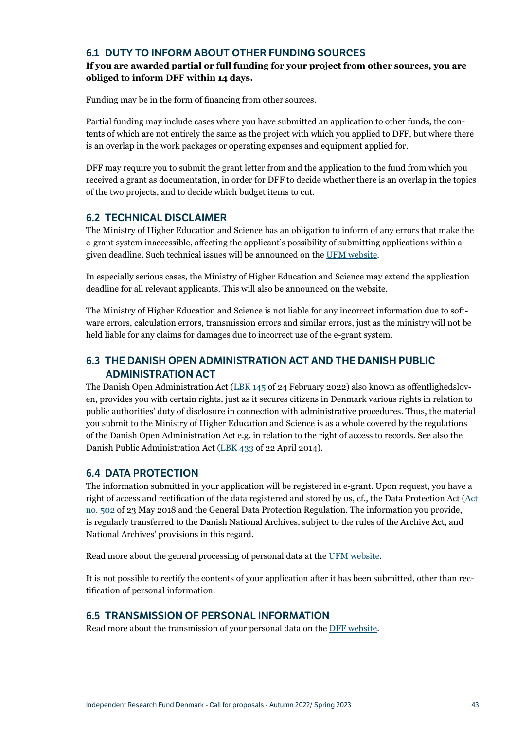## <span id="page-43-0"></span>6.1 DUTY TO INFORM ABOUT OTHER FUNDING SOURCES

## **If you are awarded partial or full funding for your project from other sources, you are obliged to inform DFF within 14 days.**

Funding may be in the form of financing from other sources.

Partial funding may include cases where you have submitted an application to other funds, the contents of which are not entirely the same as the project with which you applied to DFF, but where there is an overlap in the work packages or operating expenses and equipment applied for.

DFF may require you to submit the grant letter from and the application to the fund from which you received a grant as documentation, in order for DFF to decide whether there is an overlap in the topics of the two projects, and to decide which budget items to cut.

## 6.2 TECHNICAL DISCLAIMER

The Ministry of Higher Education and Science has an obligation to inform of any errors that make the e-grant system inaccessible, affecting the applicant's possibility of submitting applications within a given deadline. Such technical issues will be announced on the [UFM website](https://ufm.dk/en/research-and-innovation/funding-programmes-for-research-and-innovation/e-grant).

In especially serious cases, the Ministry of Higher Education and Science may extend the application deadline for all relevant applicants. This will also be announced on the website.

The Ministry of Higher Education and Science is not liable for any incorrect information due to software errors, calculation errors, transmission errors and similar errors, just as the ministry will not be held liable for any claims for damages due to incorrect use of the e-grant system.

## 6.3 THE DANISH OPEN ADMINISTRATION ACT AND THE DANISH PUBLIC ADMINISTRATION ACT

The Danish Open Administration Act ([LBK 145](https://www.retsinformation.dk/eli/lta/2020/145) of 24 February 2022) also known as offentlighedsloven, provides you with certain rights, just as it secures citizens in Denmark various rights in relation to public authorities' duty of disclosure in connection with administrative procedures. Thus, the material you submit to the Ministry of Higher Education and Science is as a whole covered by the regulations of the Danish Open Administration Act e.g. in relation to the right of access to records. See also the Danish Public Administration Act [\(LBK 433](https://www.retsinformation.dk/eli/lta/2014/433) of 22 April 2014).

## 6.4 DATA PROTECTION

The information submitted in your application will be registered in e-grant. Upon request, you have a right of access and rectification of the data registered and stored by us, cf., the Data Protection Act ([Act](https://www.retsinformation.dk/eli/lta/2018/502)  [no. 502](https://www.retsinformation.dk/eli/lta/2018/502) of 23 May 2018 and the General Data Protection Regulation. The information you provide, is regularly transferred to the Danish National Archives, subject to the rules of the Archive Act, and National Archives' provisions in this regard.

Read more about the general processing of personal data at the [UFM website.](https://ufm.dk/en/research-and-innovation/funding-programmes-for-research-and-innovation/e-grant/processing-of-personal-data-in-e-grant)

It is not possible to rectify the contents of your application after it has been submitted, other than rectification of personal information.

## 6.5 TRANSMISSION OF PERSONAL INFORMATION

Read more about the transmission of your personal data on the [DFF website](https://dff.dk/en/about-us/personal-data).